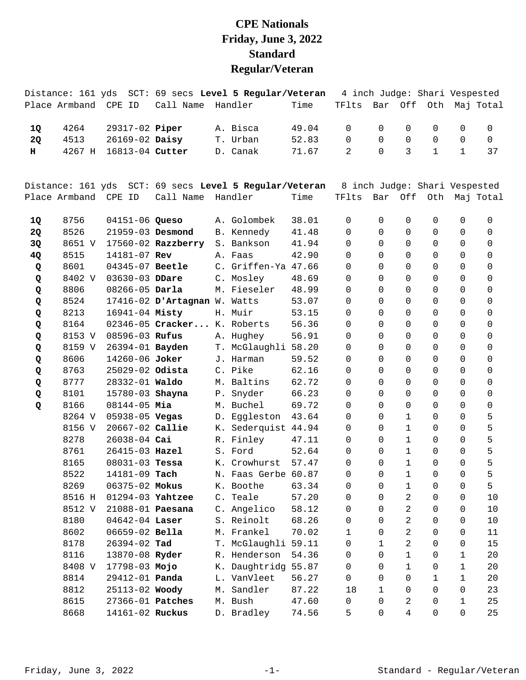## **CPE Nationals Friday, June 3, 2022 Standard Regular/Veteran**

|    |                   |                    |                              | Distance: 161 yds SCT: 69 secs Level 5 Regular/Veteran |       |             |                      |              |                     |                             | 4 inch Judge: Shari Vespested |
|----|-------------------|--------------------|------------------------------|--------------------------------------------------------|-------|-------------|----------------------|--------------|---------------------|-----------------------------|-------------------------------|
|    | Place Armband     | CPE ID             | Call Name                    | Handler                                                | Time  | TFlts       | Bar                  | Off          |                     |                             | Oth Maj Total                 |
|    |                   |                    |                              |                                                        |       |             |                      |              |                     |                             |                               |
| 1Q | 4264              | 29317-02 Piper     |                              | A. Bisca                                               | 49.04 | $\Omega$    | $\Omega$             | 0            | 0                   | 0                           | 0                             |
| 2Q | 4513              | 26169-02 Daisy     |                              | T. Urban                                               | 52.83 | $\mathbf 0$ | $\Omega$<br>$\Omega$ | $\mathbf 0$  | 0                   | $\mathbf 0$<br>$\mathbf{1}$ | 0                             |
| н. | 4267 H            | 16813-04 Cutter    |                              | D. Canak                                               | 71.67 | 2           |                      | 3            | $\mathbf{1}$        |                             | 37                            |
|    | Distance: 161 yds |                    |                              | SCT: 69 secs Level 5 Regular/Veteran                   |       |             |                      |              |                     |                             | 8 inch Judge: Shari Vespested |
|    | Place Armband     | CPE ID             | Call Name                    | Handler                                                | Time  | TFlts       | Bar                  | Off          |                     |                             | Oth Maj Total                 |
| 1Q | 8756              | 04151-06 Queso     |                              | A. Golombek                                            | 38.01 | 0           | $\Omega$             | 0            | 0                   | 0                           | 0                             |
| 2Q | 8526              | 21959-03 Desmond   |                              | B. Kennedy                                             | 41.48 | $\Omega$    | $\Omega$             | 0            | 0                   | 0                           | 0                             |
| 3Q | 8651 V            |                    | $17560 - 02$ Razzberry       | S. Bankson                                             | 41.94 | 0           | $\Omega$             | 0            | 0                   | 0                           | 0                             |
| 4Q | 8515              | 14181-07 Rev       |                              | A. Faas                                                | 42.90 | 0           | $\Omega$             | 0            | 0                   | 0                           | 0                             |
| Q  | 8601              | 04345-07 Beetle    |                              | C. Griffen-Ya 47.66                                    |       | 0           | $\Omega$             | $\Omega$     | $\Omega$            | 0                           | 0                             |
| Q  | 8402 V            | 03630-03 DDare     |                              | C. Mosley                                              | 48.69 | $\Omega$    | $\Omega$             | $\Omega$     | 0                   | 0                           | 0                             |
| Q  | 8806              | 08266-05 Darla     |                              | M. Fieseler                                            | 48.99 | $\Omega$    | $\Omega$             | 0            | 0                   | 0                           | 0                             |
| Q  | 8524              |                    | 17416-02 D'Artagnan W. Watts |                                                        | 53.07 | 0           | $\Omega$             | 0            | 0                   | 0                           | 0                             |
| Q  | 8213              | 16941-04 Misty     |                              | H. Muir                                                | 53.15 | 0           | $\Omega$             | $\Omega$     | 0                   | 0                           | 0                             |
| Q  | 8164              |                    | 02346-05 Cracker             | K. Roberts                                             | 56.36 | $\Omega$    | $\Omega$             | $\Omega$     | 0                   | 0                           | 0                             |
| Q  | 8153 V            | 08596-03 Rufus     |                              | A. Hughey                                              | 56.91 | $\Omega$    | $\Omega$             | 0            | 0                   | $\Omega$                    | 0                             |
| Q  | 8159 V            | 26394-01 Bayden    |                              | T. McGlaughli 58.20                                    |       | 0           | $\Omega$             | 0            | 0                   | 0                           | 0                             |
| Q  | 8606              | 14260-06 Joker     |                              | J. Harman                                              | 59.52 | 0           | $\Omega$             | $\Omega$     | 0                   | 0                           | 0                             |
| Q  | 8763              | 25029-02 Odista    |                              | C. Pike                                                | 62.16 | $\Omega$    | $\Omega$             | $\Omega$     | 0                   | 0                           | 0                             |
| Q  | 8777              | 28332-01 Waldo     |                              | M. Baltins                                             | 62.72 | $\Omega$    | $\Omega$             | $\Omega$     | $\Omega$            | $\Omega$                    | 0                             |
| Q  | 8101              | 15780-03 Shayna    |                              | P. Snyder                                              | 66.23 | 0           | $\Omega$             | $\Omega$     | 0                   | 0                           | 0                             |
| Q  | 8166              | $08144 - 05$ Mia   |                              | M. Buchel                                              | 69.72 | 0           | $\Omega$             | $\Omega$     | 0                   | 0                           | 0                             |
|    | 8264 V            | 05938-05 Vegas     |                              | D. Eggleston                                           | 43.64 | 0           | $\Omega$             | 1            | 0                   | $\Omega$                    | 5                             |
|    | 8156 V            | 20667-02 Callie    |                              | K. Sederquist 44.94                                    |       | $\Omega$    | $\Omega$             | 1            | 0                   | $\Omega$                    | 5                             |
|    | 8278              | 26038-04 Cai       |                              | R. Finley                                              | 47.11 | 0           | $\Omega$             | $\mathbf{1}$ | 0                   | $\Omega$                    | 5                             |
|    | 8761              | 26415-03 Hazel     |                              | S. Ford                                                | 52.64 | 0           | 0                    | $\mathbf 1$  | 0                   | 0                           | 5                             |
|    | 8165              | $08031 - 03$ Tessa |                              | K. Crowhurst                                           | 57.47 | $\Omega$    | $\Omega$             | $\mathbf 1$  | $\Omega$            | $\Omega$                    | 5                             |
|    | 8522              | 14181-09 Tach      |                              | N. Faas Gerbe 60.87                                    |       | 0           | 0                    | $\mathbf 1$  | 0                   | 0                           | 5                             |
|    | 8269              | 06375-02 Mokus     |                              | K. Boothe                                              | 63.34 | 0           | 0                    | $\mathbf 1$  | 0                   | 0                           | 5                             |
|    | 8516 H            | 01294-03 Yahtzee   |                              | C. Teale                                               | 57.20 | 0           | $\mathbf 0$          | 2            | 0                   | 0                           | 10                            |
|    | 8512 V            | 21088-01 Paesana   |                              | C. Angelico                                            | 58.12 | 0           | $\Omega$             | 2            | 0                   | 0                           | 10                            |
|    | 8180              | $04642 - 04$ Laser |                              | S. Reinolt                                             | 68.26 | 0           | $\Omega$             | 2            | 0                   | 0                           | 10                            |
|    | 8602              | 06659-02 Bella     |                              | M. Frankel                                             | 70.02 | 1           | $\Omega$             | 2            | 0                   | 0                           | 11                            |
|    | 8178              | 26394-02 Tad       |                              | T. McGlaughli 59.11                                    |       | 0           | $\mathbf 1$          | 2            | 0                   | 0                           | 15                            |
|    | 8116              | 13870-08 Ryder     |                              | R. Henderson                                           | 54.36 | 0           | $\mathbf 0$          | 1            | 0                   | 1                           | 20                            |
|    | 8408 V            | 17798-03 Mojo      |                              | K. Daughtridg 55.87                                    |       | 0           | 0                    | 1            | 0                   | 1                           | 20                            |
|    | 8814              | 29412-01 Panda     |                              | L. VanVleet                                            | 56.27 | 0           | $\Omega$             | 0            | 1                   | 1                           | 20                            |
|    | 8812              | 25113-02 Woody     |                              | M. Sandler                                             | 87.22 | 18          | $\mathbf 1$          | 0            | $\mathsf{O}\xspace$ | 0                           | 23                            |
|    | 8615              | 27366-01 Patches   |                              | M. Bush                                                | 47.60 | 0           | $\mathbf 0$          | 2            | 0                   | $\mathbf 1$                 | 25                            |
|    | 8668              | 14161-02 Ruckus    |                              | D. Bradley                                             | 74.56 | 5           | 0                    | 4            | 0                   | 0                           | 25                            |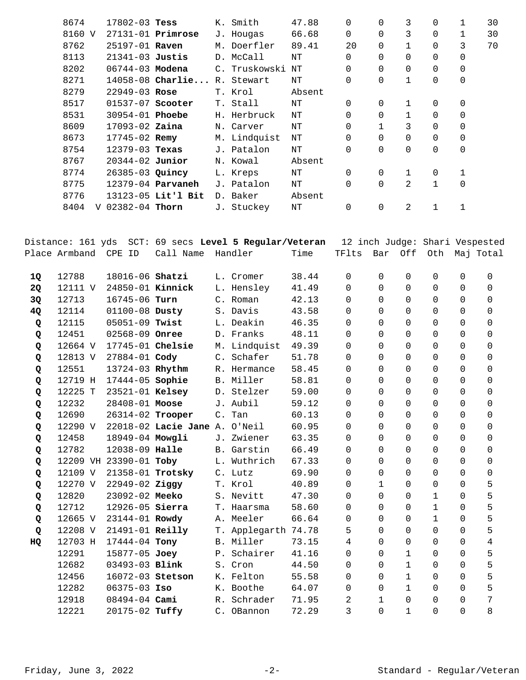| 8674      | $17802 - 03$ Tess      |                          | K. Smith      | 47.88  | 0              | 0           | 3            | 0        | 1              | 30 |
|-----------|------------------------|--------------------------|---------------|--------|----------------|-------------|--------------|----------|----------------|----|
| 8160 V    |                        | $27131 - 01$ Primrose    | J. Hougas     | 66.68  | 0              | $\Omega$    | 3            | $\Omega$ |                | 30 |
| 8762      | 25197-01 Raven         |                          | M. Doerfler   | 89.41  | 20             | $\Omega$    | $\mathbf 1$  | 0        | 3              | 70 |
| 8113      | $21341-03$ Justis      |                          | D. McCall     | NΤ     | $\Omega$       | $\Omega$    | 0            | 0        | 0              |    |
| 8202      | 06744-03 Modena        |                          | C. Truskowski | NΤ     | $\overline{0}$ | 0           | $\Omega$     | 0        | 0              |    |
| 8271      |                        | $14058 - 08$ Charlie     | R. Stewart    | NΤ     | 0              | 0           | $\mathbf{1}$ | 0        | $\overline{0}$ |    |
| 8279      | $22949 - 03$ Rose      |                          | T. Krol       | Absent |                |             |              |          |                |    |
| 8517      | $01537-07$ Scooter     |                          | T. Stall      | NΤ     | $\Omega$       | $\Omega$    |              | 0        | 0              |    |
| 8531      | 30954-01 <b>Phoebe</b> |                          | H. Herbruck   | ΝT     | $\Omega$       | $\Omega$    | $\mathbf{1}$ | 0        | 0              |    |
| 8609      | $17093 - 02$ Zaina     |                          | N. Carver     | NΤ     | $\Omega$       |             | 3            | 0        | 0              |    |
| 8673      | $17745 - 02$ Remy      |                          | M. Lindquist  | NΤ     | $\Omega$       | $\Omega$    | $\Omega$     | 0        | $\mathbf 0$    |    |
| 8754      | $12379 - 03$ Texas     |                          | J. Patalon    | NΤ     | $\Omega$       | $\Omega$    | $\Omega$     | 0        | $\overline{0}$ |    |
| 8767      | $20344 - 02$ Junior    |                          | N. Kowal      | Absent |                |             |              |          |                |    |
| 8774      | $26385 - 03$ Quincy    |                          | L. Kreps      | NΤ     | $\Omega$       | 0           | $\mathbf{1}$ | 0        | 1              |    |
| 8775      |                        | 12379-04 <b>Parvaneh</b> | J. Patalon    | NΤ     | $\overline{0}$ | $\mathbf 0$ | 2            | 1        | $\mathbf 0$    |    |
| 8776      |                        | 13123-05 Lit'l Bit       | D. Baker      | Absent |                |             |              |          |                |    |
| 8404<br>V | 02382-04 Thorn         |                          | J. Stuckey    | NΤ     | $\Omega$       | 0           | 2            |          |                |    |
|           |                        |                          |               |        |                |             |              |          |                |    |

|    |                      |                        |                               | Distance: 161 yds SCT: 69 secs Level 5 Regular/Veteran |       |          |              |              | 12 inch Judge: Shari Vespested |             |                |
|----|----------------------|------------------------|-------------------------------|--------------------------------------------------------|-------|----------|--------------|--------------|--------------------------------|-------------|----------------|
|    | Place Armband CPE ID |                        | Call Name                     | Handler                                                | Time  | TFlts    | Bar          | Off          | Oth                            |             | Maj Total      |
| 1Q | 12788                | 18016-06 Shatzi        |                               | L. Cromer                                              | 38.44 | 0        | 0            | $\Omega$     | $\Omega$                       | 0           | 0              |
| 2Q | 12111 V              | 24850-01 Kinnick       |                               | L. Hensley                                             | 41.49 | 0        | 0            | $\mathbf 0$  | $\mathbf 0$                    | 0           | $\mathbf 0$    |
| 3Q | 12713                | 16745-06 Turn          |                               | C. Roman                                               | 42.13 | 0        | $\Omega$     | $\Omega$     | $\Omega$                       | $\Omega$    | $\Omega$       |
| 4Q | 12114                | 01100-08 Dusty         |                               | S. Davis                                               | 43.58 | 0        | $\Omega$     | $\Omega$     | $\Omega$                       | $\Omega$    | $\Omega$       |
| Q  | 12115                | 05051-09 Twist         |                               | L. Deakin                                              | 46.35 | 0        | $\Omega$     | $\mathbf 0$  | $\Omega$                       | 0           | $\mathbf 0$    |
| Q  | 12451                | 02568-09 Onree         |                               | D. Franks                                              | 48.11 | $\Omega$ | $\Omega$     | $\Omega$     | $\Omega$                       | $\Omega$    | $\Omega$       |
| Q  | 12664 V              | 17745-01 Chelsie       |                               | M. Lindquist                                           | 49.39 | $\Omega$ | $\Omega$     | $\Omega$     | $\mathbf 0$                    | 0           | $\mathbf 0$    |
| Q  | 12813 V              | 27884-01 Cody          |                               | C. Schafer                                             | 51.78 | 0        | $\Omega$     | $\Omega$     | $\Omega$                       | $\Omega$    | $\overline{0}$ |
| Q  | 12551                | 13724-03 Rhythm        |                               | R. Hermance                                            | 58.45 | $\Omega$ | $\Omega$     | $\Omega$     | $\Omega$                       | $\Omega$    | $\Omega$       |
| Q  | 12719 H              | 17444-05 Sophie        |                               | B. Miller                                              | 58.81 | 0        | $\Omega$     | $\Omega$     | $\Omega$                       | 0           | 0              |
| Q  | 12225 T              | 23521-01 Kelsey        |                               | D. Stelzer                                             | 59.00 | 0        | $\Omega$     | $\Omega$     | $\Omega$                       | $\Omega$    | $\Omega$       |
| Q  | 12232                | 28408-01 Moose         |                               | J. Aubil                                               | 59.12 | 0        | $\Omega$     | $\Omega$     | $\mathbf 0$                    | 0           | $\overline{0}$ |
| Q  | 12690                | 26314-02 Trooper       |                               | C. Tan                                                 | 60.13 | 0        | $\Omega$     | $\mathbf 0$  | $\Omega$                       | $\Omega$    | 0              |
| Q  | 12290 V              |                        | 22018-02 Lacie Jane A. O'Neil |                                                        | 60.95 | $\Omega$ | $\Omega$     | $\Omega$     | $\Omega$                       | $\Omega$    | $\Omega$       |
| Q  | 12458                | 18949-04 Mowgli        |                               | J. Zwiener                                             | 63.35 | $\Omega$ | $\Omega$     | $\Omega$     | $\Omega$                       | $\Omega$    | $\mathbf 0$    |
| Q  | 12782                | 12038-09 Halle         |                               | B. Garstin                                             | 66.49 | 0        | $\Omega$     | $\Omega$     | $\Omega$                       | 0           | $\mathbf 0$    |
| Q  |                      | 12209 VH 23390-01 Toby |                               | L. Wuthrich                                            | 67.33 | 0        | $\Omega$     | $\Omega$     | $\mathbf 0$                    | 0           | 0              |
| Q  | 12109 V              | 21358-01 Trotsky       |                               | C. Lutz                                                | 69.90 | 0        | $\Omega$     | $\Omega$     | $\Omega$                       | $\Omega$    | $\mathbf 0$    |
| Q  | 12270 V              | $22949 - 02$ Ziggy     |                               | T. Krol                                                | 40.89 | 0        | $\mathbf{1}$ | $\Omega$     | $\Omega$                       | $\Omega$    | 5              |
| Q  | 12820                | 23092-02 Meeko         |                               | S. Nevitt                                              | 47.30 | 0        | $\Omega$     | $\Omega$     | $\mathbf{1}$                   | $\Omega$    | 5              |
| Q  | 12712                | 12926-05 Sierra        |                               | T. Haarsma                                             | 58.60 | 0        | $\Omega$     | $\Omega$     | $\mathbf{1}$                   | $\Omega$    | 5              |
| Q  | 12665 V              | 23144-01 Rowdy         |                               | A. Meeler                                              | 66.64 | $\Omega$ | $\Omega$     | $\Omega$     | $\mathbf{1}$                   | $\Omega$    | 5              |
| Q  | 12208 V              | 21491-01 Reilly        |                               | T. Applegarth 74.78                                    |       | 5        | $\Omega$     | $\Omega$     | $\Omega$                       | 0           | 5              |
| HQ | 12703 H              | 17444-04 Tony          |                               | B. Miller                                              | 73.15 | 4        | $\Omega$     | $\Omega$     | $\Omega$                       | $\Omega$    | 4              |
|    | 12291                | 15877-05 Joey          |                               | P. Schairer                                            | 41.16 | 0        | $\Omega$     | $\mathbf{1}$ | $\mathbf 0$                    | 0           | 5              |
|    | 12682                | 03493-03 Blink         |                               | S. Cron                                                | 44.50 | 0        | $\Omega$     | $\mathbf{1}$ | $\Omega$                       | $\mathbf 0$ | 5              |
|    | 12456                | 16072-03 Stetson       |                               | K. Felton                                              | 55.58 | $\Omega$ | $\Omega$     | $\mathbf{1}$ | $\Omega$                       | $\Omega$    | 5              |
|    | 12282                | $06375 - 03$ Iso       |                               | K. Boothe                                              | 64.07 | 0        | $\Omega$     | $\mathbf{1}$ | $\mathbf 0$                    | 0           | 5              |
|    | 12918                | $08494 - 04$ Cami      |                               | R. Schrader                                            | 71.95 | 2        | $\mathbf 1$  | $\Omega$     | $\Omega$                       | $\Omega$    | 7              |
|    | 12221                | 20175-02 Tuffy         |                               | C. OBannon                                             | 72.29 | 3        | $\Omega$     | $\mathbf{1}$ | 0                              | $\Omega$    | 8              |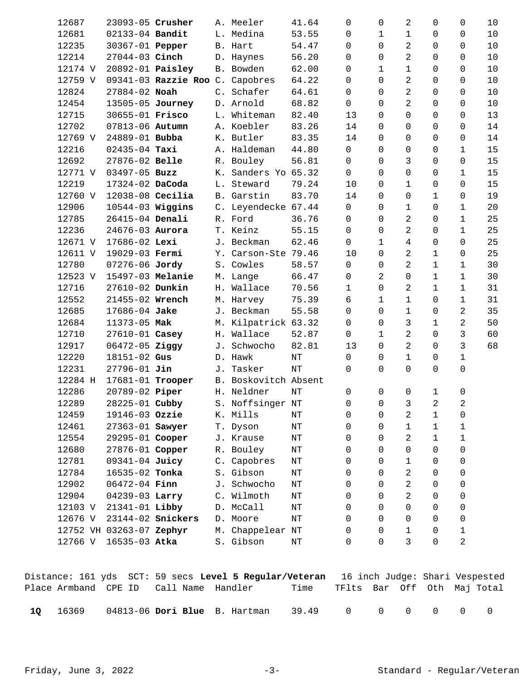| 12687   | 23093-05 Crusher         |                                 |    | A. Meeler            | 41.64     | $\Omega$     | $\Omega$     | 2              | 0 | 0           | 10 |
|---------|--------------------------|---------------------------------|----|----------------------|-----------|--------------|--------------|----------------|---|-------------|----|
| 12681   | 02133-04 Bandit          |                                 |    | L. Medina            | 53.55     | 0            | 1            | $1\,$          | 0 | 0           | 10 |
| 12235   | 30367-01 Pepper          |                                 |    | B. Hart              | 54.47     | 0            | 0            | 2              | 0 | 0           | 10 |
| 12214   | 27044-03 Cinch           |                                 |    | D. Haynes            | 56.20     | 0            | $\Omega$     | 2              | 0 | 0           | 10 |
| 12174 V | 20892-01 <b>Paisley</b>  |                                 |    | B. Bowden            | 62.00     | 0            | 1            | 1              | 0 | 0           | 10 |
| 12759 V |                          | 09341-03 Razzie Roo C. Capobres |    |                      | 64.22     | 0            | $\Omega$     | 2              | 0 | 0           | 10 |
| 12824   | 27884-02 Noah            |                                 |    | C. Schafer           | 64.61     | 0            | 0            | 2              | 0 | 0           | 10 |
| 12454   | 13505-05 Journey         |                                 |    | D. Arnold            | 68.82     | $\mathbf 0$  | $\Omega$     | 2              | 0 | 0           | 10 |
| 12715   | 30655-01 Frisco          |                                 |    | L. Whiteman          | 82.40     | 13           | $\Omega$     | $\mathbf 0$    | 0 | 0           | 13 |
| 12702   | 07813-06 Autumn          |                                 |    | A. Koebler           | 83.26     | 14           | $\Omega$     | 0              | 0 | 0           | 14 |
| 12769 V | 24889-01 Bubba           |                                 |    | K. Butler            | 83.35     | 14           | 0            | $\overline{0}$ | 0 | 0           | 14 |
| 12216   | $02435 - 04$ Taxi        |                                 |    | A. Haldeman          | 44.80     | $\mathbf 0$  | $\Omega$     | 0              | 0 | 1           | 15 |
| 12692   | 27876-02 Belle           |                                 |    | R. Bouley            | 56.81     | $\Omega$     | $\Omega$     | 3              | 0 | 0           | 15 |
| 12771 V | 03497-05 Buzz            |                                 | К. | Sanders Yo 65.32     |           | $\Omega$     | $\Omega$     | $\overline{0}$ | 0 | 1           | 15 |
| 12219   | 17324-02 DaCoda          |                                 |    | L. Steward           | 79.24     | 10           | $\Omega$     | $1\,$          | 0 | 0           | 15 |
| 12760 V | $12038-08$ Cecilia       |                                 |    | B. Garstin           | 83.70     | 14           | $\Omega$     | $\mathbf 0$    | 1 | 0           | 19 |
| 12906   | $10544-03$ Wiggins       |                                 |    | C. Leyendecke 67.44  |           | $\Omega$     | $\Omega$     | $\mathbf 1$    | 0 | 1           | 20 |
| 12785   | 26415-04 Denali          |                                 |    | R. Ford              | 36.76     | $\mathbf 0$  | $\Omega$     | 2              | 0 | 1           | 25 |
| 12236   | 24676-03 Aurora          |                                 |    | T. Keinz             | 55.15     | 0            | $\Omega$     | 2              | 0 | $\mathbf 1$ | 25 |
| 12671 V | 17686-02 Lexi            |                                 |    | J. Beckman           | 62.46     | $\mathsf{O}$ | $\mathbf{1}$ | 4              | 0 | 0           | 25 |
| 12611 V | 19029-03 Fermi           |                                 |    | Y. Carson-Ste 79.46  |           | 10           | $\Omega$     | 2              | 1 | 0           | 25 |
| 12780   | 07276-06 Jordy           |                                 |    | S. Cowles            | 58.57     | $\mathsf{O}$ | 0            | 2              | 1 | 1           | 30 |
| 12523 V | 15497-03 Melanie         |                                 |    | M. Lange             | 66.47     | 0            | 2            | $\overline{0}$ | 1 | $\mathbf 1$ | 30 |
| 12716   | 27610-02 Dunkin          |                                 |    | H. Wallace           | 70.56     | $\mathbf{1}$ | $\Omega$     | 2              | 1 | $\mathbf 1$ | 31 |
| 12552   | 21455-02 Wrench          |                                 |    | M. Harvey            | 75.39     | 6            | $\mathbf 1$  | $\mathbf 1$    | 0 | $\mathbf 1$ | 31 |
| 12685   | 17686-04 Jake            |                                 |    | J. Beckman           | 55.58     | $\Omega$     | $\Omega$     | $\mathbf 1$    | 0 | 2           | 35 |
| 12684   | 11373-05 Mak             |                                 |    | M. Kilpatrick 63.32  |           | $\Omega$     | $\Omega$     | 3              | 1 | 2           | 50 |
| 12710   | 27610-01 Casey           |                                 |    | H. Wallace           | 52.87     | $\mathsf{O}$ | $\mathbf 1$  | 2              | 0 | 3           | 60 |
| 12917   | 06472-05 Ziggy           |                                 |    | J. Schwocho          | 82.81     | 13           | $\Omega$     | 2              | 0 | 3           | 68 |
| 12220   | 18151-02 Gus             |                                 |    | D. Hawk              | NT        | $\mathbf 0$  | 0            | $\mathbf 1$    | 0 | 1           |    |
| 12231   | $27796 - 01$ Jin         |                                 | J. | Tasker               | NT        | $\Omega$     | $\Omega$     | $\Omega$       | 0 | 0           |    |
| 12284 H | 17681-01 Trooper         |                                 |    | B. Boskovitch Absent |           |              |              |                |   |             |    |
| 12286   | 20789-02 Piper           |                                 |    | H. Neldner           | NT        | 0            | 0            | 0              | 1 | 0           |    |
| 12289   | 28225-01 Cubby           |                                 |    | S. Noffsinger NT     |           | 0            | 0            | 3              | 2 | 2           |    |
| 12459   | 19146-03 Ozzie           |                                 |    | K. Mills             | NΤ        | 0            | 0            | 2              | 1 | 0           |    |
| 12461   | 27363-01 Sawyer          |                                 |    | T. Dyson             | ΝT        | 0            | 0            | 1              | 1 | 1           |    |
| 12554   | 29295-01 Cooper          |                                 |    | J. Krause            | $\rm{NT}$ | 0            | $\Omega$     | 2              | 1 | 1           |    |
| 12680   | 27876-01 Copper          |                                 |    | R. Bouley            | $\rm{NT}$ | 0            | $\Omega$     | 0              | 0 | 0           |    |
| 12781   | 09341-04 Juicy           |                                 |    | C. Capobres          | $\rm{NT}$ | 0            | $\Omega$     | 1              | 0 | 0           |    |
| 12784   | 16535-02 Tonka           |                                 |    | S. Gibson            | $\rm{NT}$ | 0            | $\Omega$     | 2              | 0 | 0           |    |
| 12902   | 06472-04 Finn            |                                 |    | J. Schwocho          | $\rm{NT}$ | 0            | $\Omega$     | 2              | 0 | 0           |    |
| 12904   | 04239-03 Larry           |                                 |    | C. Wilmoth           | $\rm{NT}$ | 0            | $\Omega$     | 2              | 0 | 0           |    |
| 12103 V | 21341-01 Libby           |                                 |    | D. McCall            | $\rm{NT}$ | 0            | $\Omega$     | $\overline{0}$ | 0 | 0           |    |
| 12676 V |                          | 23144-02 <b>Snickers</b>        |    | D. Moore             | $\rm{NT}$ | 0            | $\Omega$     | 0              | 0 | 0           |    |
|         | 12752 VH 03263-07 Zephyr |                                 |    | M. Chappelear NT     |           | 0            | 0            | $\mathbf 1$    | 0 | $\mathbf 1$ |    |
| 12766 V | 16535-03 Atka            |                                 |    | S. Gibson            | ΝT        | 0            | 0            | 3              | 0 | 2           |    |

|      |       |                                        | Distance: 161 yds SCT: 59 secs Level 5 Regular/Veteran 16 inch Judge: Shari Vespested |                                  |  |  |  |
|------|-------|----------------------------------------|---------------------------------------------------------------------------------------|----------------------------------|--|--|--|
|      |       | Place Armband CPE ID Call Name Handler |                                                                                       | Time TFlts Bar Off Oth Maj-Total |  |  |  |
| - 10 | 16369 |                                        | $04813-06$ Dori Blue B. Hartman                                                       | 39.49 0 0 0 0 0                  |  |  |  |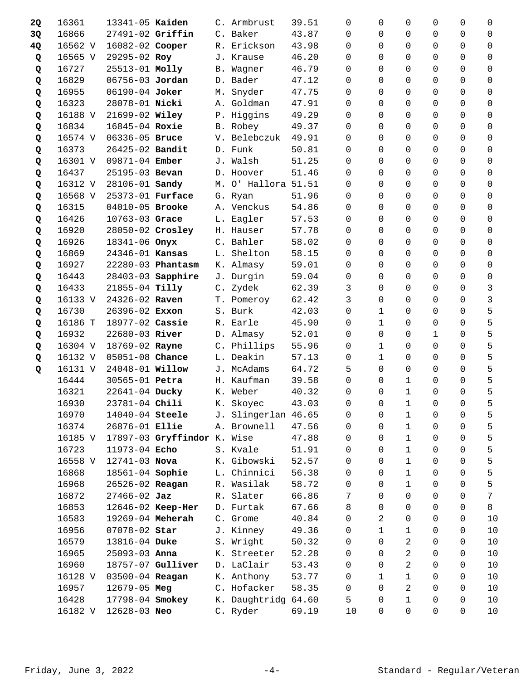| 2Q | 16361   | 13341-05 Kaiden  |                             |    | C. Armbrust         |       | 39.51 | 0              | $\Omega$       | 0            | 0              | 0              | 0        |
|----|---------|------------------|-----------------------------|----|---------------------|-------|-------|----------------|----------------|--------------|----------------|----------------|----------|
| 3Q | 16866   | 27491-02 Griffin |                             |    | C. Baker            |       | 43.87 | 0              | $\Omega$       | 0            | 0              | 0              | 0        |
| 4Q | 16562 V | 16082-02 Cooper  |                             |    | R. Erickson         |       | 43.98 | 0              | $\Omega$       | 0            | 0              | $\Omega$       | $\Omega$ |
| Q  | 16565 V | 29295-02 Roy     |                             |    | J. Krause           |       | 46.20 | 0              | 0              | 0            | 0              | 0              | 0        |
| Q  | 16727   | 25513-01 Molly   |                             |    | B. Wagner           | 46.79 |       | 0              | $\Omega$       | 0            | 0              | 0              | 0        |
| Q  | 16829   | 06756-03 Jordan  |                             |    | D. Bader            |       | 47.12 | 0              | $\Omega$       | 0            | 0              | 0              | 0        |
| Q  | 16955   | 06190-04 Joker   |                             | М. | Snyder              |       | 47.75 | $\Omega$       | $\Omega$       | 0            | 0              | $\Omega$       | 0        |
| Q  | 16323   | 28078-01 Nicki   |                             |    | A. Goldman          |       | 47.91 | $\Omega$       | $\Omega$       | 0            | 0              | 0              | 0        |
| Q  | 16188 V | 21699-02 Wiley   |                             |    | P. Higgins          |       | 49.29 | $\Omega$       | $\Omega$       | $\Omega$     | 0              | 0              | 0        |
| Q  | 16834   | 16845-04 Roxie   |                             |    | B. Robey            |       | 49.37 | $\Omega$       | $\Omega$       | $\Omega$     | 0              | $\Omega$       | $\Omega$ |
| Q  | 16574 V | 06336-05 Bruce   |                             |    | V. Belebczuk        |       | 49.91 | 0              | $\Omega$       | $\Omega$     | 0              | $\Omega$       | 0        |
| Q  | 16373   | 26425-02 Bandit  |                             |    | D. Funk             |       | 50.81 | $\Omega$       | $\Omega$       | 0            | 0              | 0              | 0        |
| Q  | 16301 V | 09871-04 Ember   |                             |    | J. Walsh            |       | 51.25 | 0              | $\Omega$       | 0            | 0              | 0              | 0        |
| Q  | 16437   | 25195-03 Bevan   |                             |    | D. Hoover           |       | 51.46 | 0              | $\Omega$       | $\Omega$     | 0              | $\Omega$       | $\Omega$ |
| Q  | 16312 V | 28106-01 Sandy   |                             |    | M. O' Hallora 51.51 |       |       | 0              | $\Omega$       | $\Omega$     | 0              | 0              | 0        |
| Q  | 16568 V | 25373-01 Furface |                             |    | G. Ryan             |       | 51.96 | $\Omega$       | $\Omega$       | $\Omega$     | 0              | 0              | $\Omega$ |
| Q  | 16315   | 04010-05 Brooke  |                             |    | A. Venckus          |       | 54.86 | 0              | $\Omega$       | $\Omega$     | 0              | 0              | 0        |
| Q  | 16426   | 10763-03 Grace   |                             |    | L. Eagler           |       | 57.53 | 0              | $\Omega$       | $\Omega$     | 0              | $\Omega$       | $\Omega$ |
| Q  | 16920   | 28050-02 Crosley |                             |    | H. Hauser           |       | 57.78 | 0              | $\Omega$       | $\Omega$     | 0              | 0              | 0        |
| Q  | 16926   | 18341-06 Onyx    |                             |    | C. Bahler           |       | 58.02 | $\Omega$       | $\Omega$       | $\Omega$     | 0              | $\Omega$       | $\Omega$ |
| Q  | 16869   | 24346-01 Kansas  |                             |    | L. Shelton          |       | 58.15 | 0              | $\Omega$       | 0            | 0              | 0              | 0        |
| Q  | 16927   |                  | 22280-03 Phantasm           |    | K. Almasy           | 59.01 |       | 0              | $\Omega$       | $\Omega$     | 0              | $\Omega$       | $\Omega$ |
| Q  | 16443   |                  | 28403-03 Sapphire           |    | J. Durgin           |       | 59.04 | 0              | $\Omega$       | $\Omega$     | 0              | $\Omega$       | 0        |
| Q  | 16433   | 21855-04 Tilly   |                             |    | C. Zydek            |       | 62.39 | 3              | $\Omega$       | $\Omega$     | 0              | $\Omega$       | 3        |
| Q  | 16133 V | 24326-02 Raven   |                             |    | T. Pomeroy          |       | 62.42 | 3              | $\Omega$       | $\mathbf 0$  | 0              | 0              | 3        |
| Q  | 16730   | 26396-02 Exxon   |                             |    | S. Burk             |       | 42.03 | $\Omega$       | $\mathbf{1}$   | $\Omega$     | 0              | 0              | 5        |
| Q  | 16186 T | 18977-02 Cassie  |                             |    | R. Earle            |       | 45.90 | 0              | $\mathbf{1}$   | 0            | 0              | 0              | 5        |
| Q  | 16932   | 22680-03 River   |                             |    | D. Almasy           |       | 52.01 | 0              | $\Omega$       | 0            | 1              | $\Omega$       | 5        |
| Q  | 16304 V | 18769-02 Rayne   |                             |    | C. Phillips         |       | 55.96 | 0              | $\mathbf 1$    | 0            | 0              | 0              | 5        |
| Q  | 16132 V | 05051-08 Chance  |                             |    | L. Deakin           |       | 57.13 | 0              | $\mathbf{1}$   | 0            | 0              | 0              | 5        |
| Q  | 16131 V | 24048-01 Willow  |                             |    | J. McAdams          |       | 64.72 | 5              | $\Omega$       | 0            | 0              | 0              | 5        |
|    | 16444   | 30565-01 Petra   |                             |    | H. Kaufman          |       | 39.58 | $\Omega$       | $\Omega$       | 1            | 0              | $\Omega$       | 5        |
|    | 16321   | 22641-04 Ducky   |                             |    | K. Weber            |       | 40.32 | 0              | $\mathbf 0$    | $1\,$        | 0              | 0              | 5        |
|    | 16930   | 23781-04 Chili   |                             |    | K. Skoyec           |       | 43.03 | $\overline{0}$ | $\overline{0}$ | $\mathbf{1}$ | $\overline{0}$ | $\overline{0}$ | 5        |
|    | 16970   | 14040-04 Steele  |                             | J. | Slingerlan 46.65    |       |       | 0              | 0              | 1            | 0              | 0              | 5        |
|    | 16374   | 26876-01 Ellie   |                             |    | A. Brownell         |       | 47.56 | 0              | $\Omega$       | 1            | 0              | 0              | 5        |
|    | 16185 V |                  | 17897-03 Gryffindor K. Wise |    |                     |       | 47.88 | 0              | $\Omega$       | $\mathbf{1}$ | 0              | 0              | 5        |
|    | 16723   | 11973-04 Echo    |                             |    | S. Kvale            |       | 51.91 | 0              | $\Omega$       | $\mathbf 1$  | 0              | 0              | 5        |
|    | 16558 V | 12741-03 Nova    |                             |    | K. Gibowski         |       | 52.57 | 0              | $\Omega$       | $\mathbf 1$  | 0              | 0              | 5        |
|    | 16868   | 18561-04 Sophie  |                             |    | L. Chinnici         |       | 56.38 | 0              | $\Omega$       | $\mathbf{1}$ | 0              | 0              | 5        |
|    | 16968   | 26526-02 Reagan  |                             |    | R. Wasilak          |       | 58.72 | 0              | 0              | $\mathbf{1}$ | 0              | 0              | 5        |
|    | 16872   | $27466 - 02$ Jaz |                             |    | R. Slater           |       | 66.86 | 7              | $\Omega$       | $\mathbf 0$  | 0              | 0              | 7        |
|    | 16853   |                  | 12646-02 Keep-Her           |    | D. Furtak           |       | 67.66 | 8              | $\Omega$       | 0            | 0              | 0              | 8        |
|    | 16583   | 19269-04 Meherah |                             |    | C. Grome            |       | 40.84 | 0              | 2              | 0            | 0              | 0              | 10       |
|    | 16956   | 07078-02 Star    |                             |    | J. Kinney           |       | 49.36 | 0              | $\mathbf{1}$   | 1            | 0              | 0              | 10       |
|    | 16579   | 13816-04 Duke    |                             |    | S. Wright           |       | 50.32 | 0              | $\Omega$       | 2            | 0              | 0              | 10       |
|    | 16965   | 25093-03 Anna    |                             |    | K. Streeter         |       | 52.28 | 0              | $\Omega$       | 2            | 0              | 0              | 10       |
|    | 16960   |                  | 18757-07 Gulliver           |    | D. LaClair          |       | 53.43 | 0              | $\Omega$       | 2            | 0              | 0              | 10       |
|    | 16128 V | 03500-04 Reagan  |                             |    | K. Anthony          |       | 53.77 | 0              | 1              | 1            | 0              | 0              | 10       |
|    | 16957   | 12679-05 Meg     |                             |    | C. Hofacker         |       | 58.35 | 0              | 0              | 2            | 0              | 0              | 10       |
|    | 16428   | 17798-04 Smokey  |                             |    | K. Daughtridg       | 64.60 |       | 5              | 0              | 1            | 0              | 0              | 10       |
|    | 16182 V | 12628-03 Neo     |                             |    | C. Ryder            |       | 69.19 | 10             | 0              | 0            | 0              | 0              | 10       |
|    |         |                  |                             |    |                     |       |       |                |                |              |                |                |          |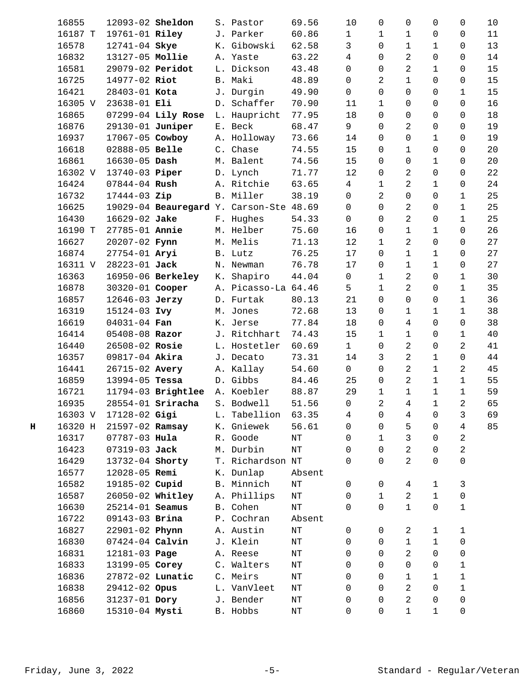|   | 16855   | 12093-02 Sheldon  |                               |    | S. Pastor                         | 69.56     | 10             | 0              | $\mathbf 0$    | 0            | 0              | 10 |
|---|---------|-------------------|-------------------------------|----|-----------------------------------|-----------|----------------|----------------|----------------|--------------|----------------|----|
|   | 16187 T | 19761-01 Riley    |                               |    | J. Parker                         | 60.86     | $\mathbf{1}$   | 1              | 1              | 0            | 0              | 11 |
|   | 16578   | 12741-04 Skye     |                               |    | K. Gibowski                       | 62.58     | 3              | $\Omega$       | 1              | 1            | 0              | 13 |
|   | 16832   | 13127-05 Mollie   |                               |    | A. Yaste                          | 63.22     | 4              | 0              | 2              | 0            | 0              | 14 |
|   | 16581   | 29079-02 Peridot  |                               |    | L. Dickson                        | 43.48     | $\mathsf{O}$   | 0              | 2              | 1            | 0              | 15 |
|   | 16725   | 14977-02 Riot     |                               |    | B. Maki                           | 48.89     | $\Omega$       | 2              | $\mathbf 1$    | 0            | 0              | 15 |
|   | 16421   | 28403-01 Kota     |                               |    | J. Durgin                         | 49.90     | $\mathsf{O}$   | $\Omega$       | $\mathbf 0$    | 0            | 1              | 15 |
|   | 16305 V | 23638-01 Eli      |                               |    | D. Schaffer                       | 70.90     | 11             | $\mathbf{1}$   | 0              | 0            | 0              | 16 |
|   | 16865   |                   | 07299-04 Lily Rose            |    | L. Haupricht                      | 77.95     | 18             | $\Omega$       | $\mathbf 0$    | 0            | 0              | 18 |
|   | 16876   | 29130-01 Juniper  |                               |    | E. Beck                           | 68.47     | 9              | $\Omega$       | 2              | 0            | 0              | 19 |
|   | 16937   | 17067-05 Cowboy   |                               |    | A. Holloway                       | 73.66     | 14             | $\Omega$       | $\mathbf 0$    | 1            | 0              | 19 |
|   | 16618   | 02888-05 Belle    |                               |    | C. Chase                          | 74.55     | 15             | 0              | $1\,$          | 0            | 0              | 20 |
|   | 16861   | 16630-05 Dash     |                               |    | M. Balent                         | 74.56     | 15             | $\mathbf 0$    | $\mathbf 0$    | 1            | 0              | 20 |
|   | 16302 V | 13740-03 Piper    |                               |    | D. Lynch                          | 71.77     | 12             | $\Omega$       | 2              | 0            | 0              | 22 |
|   | 16424   | $07844 - 04$ Rush |                               |    | A. Ritchie                        | 63.65     | 4              | 1              | 2              | 1            | 0              | 24 |
|   | 16732   | 17444-03 Zip      |                               |    | B. Miller                         | 38.19     | $\mathsf{O}$   | 2              | $\mathbf 0$    | 0            | 1              | 25 |
|   | 16625   |                   |                               |    | 19029-04 Beauregard Y. Carson-Ste | 48.69     | $\mathsf{O}$   | $\Omega$       | 2              | 0            | $\mathbf 1$    | 25 |
|   | 16430   | 16629-02 Jake     |                               |    | F. Hughes                         | 54.33     | 0              | $\Omega$       | 2              | 0            | 1              | 25 |
|   | 16190 T | 27785-01 Annie    |                               |    | M. Helber                         | 75.60     | 16             | 0              | $\mathbf 1$    | 1            | 0              | 26 |
|   | 16627   | 20207-02 Fynn     |                               |    | M. Melis                          |           | 12             | $\mathbf{1}$   | 2              | 0            | 0              | 27 |
|   |         |                   |                               |    |                                   | 71.13     |                |                |                |              |                |    |
|   | 16874   | 27754-01 Aryi     |                               |    | B. Lutz                           | 76.25     | 17             | 0              | $\mathbf 1$    | $\mathbf{1}$ | 0              | 27 |
|   | 16311 V | 28223-01 Jack     |                               |    | N. Newman                         | 76.78     | 17             | 0              | 1              | $\mathbf{1}$ | 0              | 27 |
|   | 16363   |                   | 16950-06 Berkeley             |    | K. Shapiro                        | 44.04     | $\mathsf{O}$   | 1              | 2              | 0            | 1              | 30 |
|   | 16878   | 30320-01 Cooper   |                               |    | A. Picasso-La 64.46               |           | 5              | $\mathbf{1}$   | 2              | 0            | $\mathbf{1}$   | 35 |
|   | 16857   | 12646-03 Jerzy    |                               |    | D. Furtak                         | 80.13     | 21             | $\mathbf 0$    | 0              | 0            | $\mathbf 1$    | 36 |
|   | 16319   | 15124-03 Ivy      |                               |    | M. Jones                          | 72.68     | 13             | $\Omega$       | $\mathbf 1$    | 1            | 1              | 38 |
|   | 16619   | 04031-04 Fan      |                               |    | K. Jerse                          | 77.84     | 18             | 0              | 4              | 0            | 0              | 38 |
|   | 16414   | 05408-08 Razor    |                               |    | J. Ritchhart                      | 74.43     | 15             | $\mathbf{1}$   | 1              | 0            | 1              | 40 |
|   | 16440   | 26508-02 Rosie    |                               |    | L. Hostetler                      | 60.69     | 1              | 0              | 2              | 0            | 2              | 41 |
|   | 16357   | 09817-04 Akira    |                               |    | J. Decato                         | 73.31     | 14             | 3              | 2              | 1            | 0              | 44 |
|   | 16441   | 26715-02 Avery    |                               |    | A. Kallay                         | 54.60     | $\mathsf{O}$   | 0              | 2              | $\mathbf 1$  | 2              | 45 |
|   | 16859   | 13994-05 Tessa    |                               |    | D. Gibbs                          | 84.46     | 25             | 0              | 2              | 1            | 1              | 55 |
|   | 16721   |                   | 11794-03 Brightlee A. Koebler |    |                                   | 88.87     | 29             | $\mathbf 1$    | $\mathbf{1}$   | $\mathbf 1$  | $\mathbf{1}$   | 59 |
|   | 16935   |                   | 28554-01 Sriracha S. Bodwell  |    |                                   | 51.56     | $\overline{0}$ | $\overline{a}$ | $\overline{4}$ | $\mathbf{1}$ | $\overline{a}$ | 65 |
|   | 16303 V | 17128-02 Gigi     |                               | L. | Tabellion                         | 63.35     | 4              | 0              | 4              | 0            | 3              | 69 |
| н | 16320 H | 21597-02 Ramsay   |                               |    | K. Gniewek                        | 56.61     | $\mathbf 0$    | $\Omega$       | 5              | 0            | 4              | 85 |
|   | 16317   | 07787-03 Hula     |                               |    | R. Goode                          | NT        | 0              | $\mathbf{1}$   | 3              | 0            | $\overline{2}$ |    |
|   | 16423   | 07319-03 Jack     |                               |    | M. Durbin                         | $\rm{NT}$ | 0              | $\Omega$       | 2              | 0            | $\overline{2}$ |    |
|   | 16429   | 13732-04 Shorty   |                               |    | T. Richardson NT                  |           | $\Omega$       | $\Omega$       | 2              | 0            | 0              |    |
|   | 16577   | 12028-05 Remi     |                               |    | K. Dunlap                         | Absent    |                |                |                |              |                |    |
|   | 16582   | 19185-02 Cupid    |                               |    | B. Minnich                        | $\rm{NT}$ | $\mathbf 0$    | 0              | $\overline{4}$ | 1            | 3              |    |
|   | 16587   | 26050-02 Whitley  |                               |    | A. Phillips                       | ΝT        | 0              | $\mathbf 1$    | 2              | $\mathbf{1}$ | 0              |    |
|   | 16630   | 25214-01 Seamus   |                               |    | B. Cohen                          | $\rm{NT}$ | $\Omega$       | $\Omega$       | $\mathbf 1$    | 0            | 1              |    |
|   | 16722   | 09143-03 Brina    |                               | P. | Cochran                           | Absent    |                |                |                |              |                |    |
|   | 16827   | 22901-02 Phynn    |                               |    | A. Austin                         | $\rm{NT}$ | 0              | 0              | 2              | 1            | 1              |    |
|   | 16830   | 07424-04 Calvin   |                               |    | J. Klein                          | $\rm{NT}$ | 0              | 0              | $\mathbf 1$    | $\mathbf 1$  | 0              |    |
|   | 16831   | 12181-03 Page     |                               |    | A. Reese                          | $\rm{NT}$ | 0              | $\Omega$       | 2              | 0            | 0              |    |
|   | 16833   | 13199-05 Corey    |                               |    | C. Walters                        | ΝT        | $\Omega$       | $\Omega$       | 0              | 0            | 1              |    |
|   | 16836   | 27872-02 Lunatic  |                               |    | C. Meirs                          | ΝT        | 0              | $\Omega$       | 1              | 1            | 1              |    |
|   | 16838   | 29412-02 Opus     |                               |    | L. VanVleet                       | NΤ        | 0              | $\Omega$       | 2              | 0            | $\mathbf 1$    |    |
|   | 16856   | 31237-01 Dory     |                               |    | J. Bender                         | $\rm{NT}$ | 0              | $\Omega$       | 2              | 0            | 0              |    |
|   | 16860   | 15310-04 Mysti    |                               |    | B. Hobbs                          | $\rm{NT}$ | 0              | $\mathbf 0$    | $\mathbf 1$    | $\mathbf 1$  | 0              |    |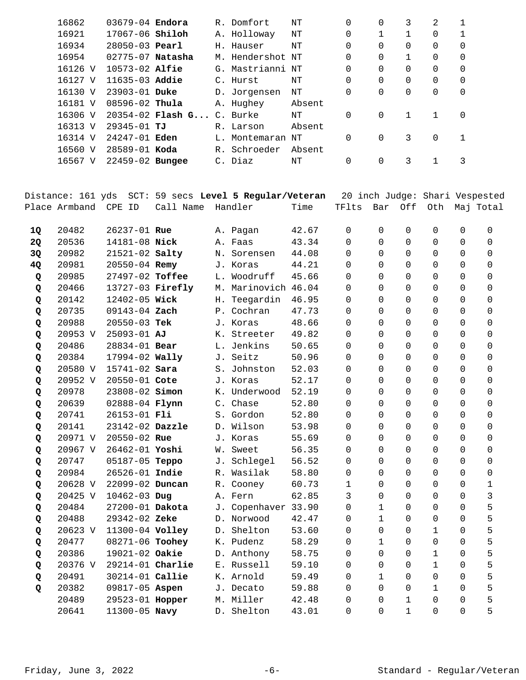| 16862   | $03679 - 04$ Endora    |                                  | R. Domfort       | ΝT     | $\Omega$ | 0 | 3        | 2        |          |
|---------|------------------------|----------------------------------|------------------|--------|----------|---|----------|----------|----------|
| 16921   | 17067-06 <b>Shiloh</b> |                                  | A. Holloway      | NΤ     | 0        |   |          | 0        |          |
| 16934   | $28050 - 03$ Pearl     |                                  | H. Hauser        | NΤ     | $\Omega$ | 0 | $\Omega$ | 0        | 0        |
| 16954   | 02775-07 Natasha       |                                  | M. Hendershot NT |        | $\Omega$ | 0 |          | 0        | 0        |
| 16126 V | $10573 - 02$ Alfie     |                                  | G. Mastrianni NT |        | $\Omega$ | 0 | $\Omega$ | $\Omega$ | 0        |
| 16127 V | $11635 - 03$ Addie     |                                  | C. Hurst         | NΤ     | $\Omega$ | 0 | $\Omega$ | 0        | $\Omega$ |
| 16130 V | $23903 - 01$ Duke      |                                  | D. Jorgensen     | NΤ     | $\Omega$ | 0 | $\Omega$ | $\Omega$ | 0        |
| 16181 V | $08596 - 02$ Thula     |                                  | A. Hughey        | Absent |          |   |          |          |          |
| 16306 V |                        | 20354-02 <b>Flash G</b> C. Burke |                  | NΤ     | $\Omega$ | 0 |          |          | 0        |
| 16313 V | 29345-01 TJ            |                                  | R. Larson        | Absent |          |   |          |          |          |
| 16314 V | $24247 - 01$ Eden      |                                  | L. Montemaran    | NΤ     | $\Omega$ | 0 | 3        | $\Omega$ | 1        |
| 16560 V | $28589 - 01$ Koda      |                                  | R. Schroeder     | Absent |          |   |          |          |          |
| 16567 V | $22459 - 02$ Bungee    |                                  | C. Diaz          | ΝT     | $\Omega$ | 0 | 3        |          | 3        |
|         |                        |                                  |                  |        |          |   |          |          |          |

|    | Distance: 161 yds |                  |           | SCT: 59 secs Level 5 Regular/Veteran |       |          |                |              | 20 inch Judge: Shari Vespested |             |              |
|----|-------------------|------------------|-----------|--------------------------------------|-------|----------|----------------|--------------|--------------------------------|-------------|--------------|
|    | Place Armband     | CPE ID           | Call Name | Handler                              | Time  | TFlts    | Bar            | Off          | Oth                            |             | Maj Total    |
|    |                   |                  |           |                                      |       |          |                |              |                                |             |              |
| 1Q | 20482             | 26237-01 Rue     |           | A. Pagan                             | 42.67 | 0        | $\mathbf 0$    | $\mathbf 0$  | $\mathbf 0$                    | 0           | $\mathbf 0$  |
| 2Q | 20536             | 14181-08 Nick    |           | A. Faas                              | 43.34 | $\Omega$ | $\Omega$       | $\Omega$     | 0                              | $\Omega$    | $\Omega$     |
| 3Q | 20982             | 21521-02 Salty   |           | N. Sorensen                          | 44.08 | $\Omega$ | $\Omega$       | $\Omega$     | 0                              | $\Omega$    | $\Omega$     |
| 4Q | 20981             | 20550-04 Remy    |           | J. Koras                             | 44.21 | $\Omega$ | $\Omega$       | $\Omega$     | $\Omega$                       | $\Omega$    | $\Omega$     |
| Q  | 20985             | 27497-02 Toffee  |           | L. Woodruff                          | 45.66 | $\Omega$ | $\Omega$       | $\Omega$     | $\Omega$                       | $\Omega$    | $\Omega$     |
| Q  | 20466             | 13727-03 Firefly |           | M. Marinovich 46.04                  |       | 0        | $\Omega$       | 0            | 0                              | 0           | 0            |
| Q  | 20142             | 12402-05 Wick    |           | H. Teegardin                         | 46.95 | 0        | $\overline{0}$ | 0            | 0                              | 0           | 0            |
| Q  | 20735             | 09143-04 Zach    |           | P. Cochran                           | 47.73 | 0        | $\overline{0}$ | $\Omega$     | 0                              | 0           | 0            |
| Q  | 20988             | 20550-03 Tek     |           | J. Koras                             | 48.66 | 0        | $\overline{0}$ | $\Omega$     | 0                              | 0           | 0            |
| Q  | 20953 V           | 25093-01 AJ      |           | K. Streeter                          | 49.82 | $\Omega$ | $\overline{0}$ | $\Omega$     | $\Omega$                       | $\Omega$    | $\Omega$     |
| Q  | 20486             | 28834-01 Bear    |           | L. Jenkins                           | 50.65 | $\Omega$ | $\Omega$       | $\Omega$     | $\Omega$                       | $\Omega$    | $\Omega$     |
| Q  | 20384             | 17994-02 Wally   |           | J. Seitz                             | 50.96 | 0        | $\Omega$       | $\mathbf 0$  | 0                              | 0           | 0            |
| Q  | 20580 V           | 15741-02 Sara    |           | S. Johnston                          | 52.03 | 0        | $\Omega$       | $\Omega$     | 0                              | 0           | $\mathbf 0$  |
| Q  | 20952 V           | 20550-01 Cote    |           | J. Koras                             | 52.17 | $\Omega$ | $\Omega$       | $\Omega$     | 0                              | $\Omega$    | 0            |
| Q  | 20978             | 23808-02 Simon   |           | K. Underwood                         | 52.19 | $\Omega$ | $\Omega$       | $\Omega$     | 0                              | $\Omega$    | $\Omega$     |
| Q  | 20639             | 02888-04 Flynn   |           | C. Chase                             | 52.80 | $\Omega$ | $\Omega$       | $\Omega$     | $\Omega$                       | $\Omega$    | $\Omega$     |
| Q  | 20741             | 26153-01 Fli     |           | S. Gordon                            | 52.80 | $\Omega$ | $\Omega$       | $\Omega$     | $\Omega$                       | $\Omega$    | $\Omega$     |
| Q  | 20141             | 23142-02 Dazzle  |           | D. Wilson                            | 53.98 | $\Omega$ | $\Omega$       | $\Omega$     | $\Omega$                       | $\Omega$    | $\Omega$     |
| Q  | 20971 V           | 20550-02 Rue     |           | J. Koras                             | 55.69 | 0        | $\Omega$       | $\Omega$     | $\Omega$                       | $\Omega$    | 0            |
| Q  | 20967 V           | 26462-01 Yoshi   |           | W. Sweet                             | 56.35 | 0        | $\Omega$       | $\Omega$     | $\Omega$                       | $\Omega$    | 0            |
| Q  | 20747             | 05187-05 Teppo   |           | J. Schlegel                          | 56.52 | $\Omega$ | $\Omega$       | $\Omega$     | $\Omega$                       | $\Omega$    | $\Omega$     |
| Q  | 20984             | 26526-01 Indie   |           | R. Wasilak                           | 58.80 | $\Omega$ | $\Omega$       | $\Omega$     | $\Omega$                       | $\Omega$    | $\Omega$     |
| Q  | 20628 V           | 22099-02 Duncan  |           | R. Cooney                            | 60.73 | 1        | $\Omega$       | $\Omega$     | $\Omega$                       | $\Omega$    | $\mathbf{1}$ |
| Q  | 20425 V           | 10462-03 Dug     |           | A. Fern                              | 62.85 | 3        | $\Omega$       | $\Omega$     | $\Omega$                       | $\Omega$    | 3            |
| Q  | 20484             | 27200-01 Dakota  |           | J. Copenhaver 33.90                  |       | 0        | $\mathbf{1}$   | $\Omega$     | $\mathbf 0$                    | $\Omega$    | 5            |
| Q  | 20488             | 29342-02 Zeke    |           | D. Norwood                           | 42.47 | 0        | $\mathbf{1}$   | $\Omega$     | $\mathbf 0$                    | $\Omega$    | 5            |
| Q  | 20623 V           | 11300-04 Volley  |           | D. Shelton                           | 53.60 | $\Omega$ | $\Omega$       | $\Omega$     | $\mathbf{1}$                   | $\Omega$    | 5            |
| Q  | 20477             | 08271-06 Toohey  |           | K. Pudenz                            | 58.29 | $\Omega$ | $\mathbf{1}$   | $\Omega$     | $\Omega$                       | $\Omega$    | 5            |
| Q  | 20386             | 19021-02 Oakie   |           | D. Anthony                           | 58.75 | $\Omega$ | $\Omega$       | $\Omega$     | $\mathbf{1}$                   | $\Omega$    | 5            |
| Q  | 20376 V           | 29214-01 Charlie |           | E. Russell                           | 59.10 | $\Omega$ | $\Omega$       | $\Omega$     | $\mathbf{1}$                   | $\Omega$    | 5            |
| Q  | 20491             | 30214-01 Callie  |           | K. Arnold                            | 59.49 | 0        | $\mathbf{1}$   | $\mathbf 0$  | 0                              | 0           | 5            |
| Q  | 20382             | 09817-05 Aspen   |           | J. Decato                            | 59.88 | 0        | 0              | $\mathbf 0$  | $\mathbf{1}$                   | $\mathbf 0$ | 5            |
|    | 20489             | 29523-01 Hopper  |           | M. Miller                            | 42.48 | 0        | $\mathbf 0$    | $\mathbf{1}$ | 0                              | 0           | 5            |
|    | 20641             | 11300-05 Navy    |           | D. Shelton                           | 43.01 | $\Omega$ | $\Omega$       | $\mathbf{1}$ | $\Omega$                       | $\Omega$    | 5            |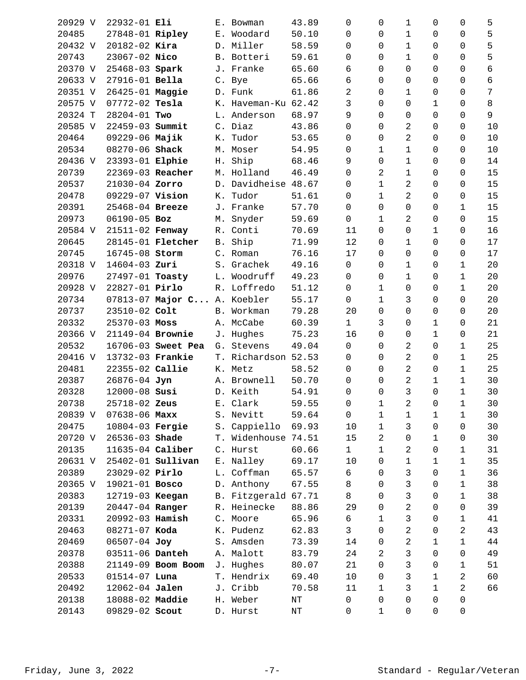| 20929 V | 22932-01 Eli      |                             |    | E. Bowman           | 43.89     |       | 0              | 0              | 1              | 0              | 0            | 5    |
|---------|-------------------|-----------------------------|----|---------------------|-----------|-------|----------------|----------------|----------------|----------------|--------------|------|
| 20485   | 27848-01 Ripley   |                             |    | E. Woodard          | 50.10     |       | $\Omega$       | $\Omega$       | $\mathbf 1$    | 0              | 0            | 5    |
| 20432 V | $20182 - 02$ Kira |                             |    | D. Miller           | 58.59     |       | $\Omega$       | $\Omega$       | 1              | 0              | $\Omega$     | 5    |
| 20743   | 23067-02 Nico     |                             |    | B. Botteri          | 59.61     |       | 0              | 0              | $\mathbf{1}$   | 0              | 0            | 5    |
| 20370 V | 25468-03 Spark    |                             |    | J. Franke           | 65.60     |       | 6              | $\Omega$       | $\mathbf 0$    | 0              | 0            | 6    |
| 20633 V | 27916-01 Bella    |                             |    | C. Bye              | 65.66     |       | 6              | $\Omega$       | 0              | 0              | 0            | 6    |
| 20351 V | 26425-01 Maggie   |                             |    | D. Funk             | 61.86     |       | 2              | $\Omega$       | 1              | 0              | 0            | 7    |
| 20575 V | 07772-02 Tesla    |                             |    | K. Haveman-Ku 62.42 |           |       | 3              | $\Omega$       | $\mathbf 0$    | 1              | 0            | 8    |
| 20324 T | 28204-01 Two      |                             |    | L. Anderson         | 68.97     |       | 9              | $\Omega$       | $\mathbf 0$    | 0              | 0            | 9    |
| 20585 V | 22459-03 Summit   |                             |    | C. Diaz             | 43.86     |       | 0              | $\Omega$       | 2              | 0              | 0            | 10   |
| 20464   | 09229-06 Majik    |                             |    | K. Tudor            | 53.65     |       | $\Omega$       | $\Omega$       | 2              | 0              | 0            | 10   |
| 20534   | 08270-06 Shack    |                             |    | M. Moser            | 54.95     |       | 0              | $\mathbf{1}$   | $1\,$          | 0              | 0            | $10$ |
| 20436 V | 23393-01 Elphie   |                             |    | H. Ship             | 68.46     |       | 9              | 0              | $\mathbf{1}$   | 0              | 0            | 14   |
| 20739   | 22369-03 Reacher  |                             |    | M. Holland          | 46.49     |       | 0              | 2              | 1              | 0              | 0            | 15   |
| 20537   | 21030-04 Zorro    |                             |    | D. Davidheise       | 48.67     |       | $\mathbf 0$    | 1              | 2              | 0              | 0            | 15   |
| 20478   | 09229-07 Vision   |                             | К. | Tudor               | 51.61     |       | 0              | $\mathbf 1$    | 2              | 0              | 0            | 15   |
| 20391   | 25468-04 Breeze   |                             |    | J. Franke           | 57.70     |       | $\mathsf{O}$   | $\Omega$       | $\mathbf 0$    | 0              | $\mathbf 1$  | 15   |
| 20973   | 06190-05 Boz      |                             |    | M. Snyder           | 59.69     |       | $\mathbf 0$    | $\mathbf{1}$   | 2              | 0              | $\Omega$     | 15   |
| 20584 V | 21511-02 Fenway   |                             |    | R. Conti            | 70.69     |       | 11             | $\Omega$       | $\mathbf 0$    | 1              | 0            | 16   |
| 20645   |                   | 28145-01 <b>Fletcher</b>    |    | B. Ship             | 71.99     |       | 12             | $\Omega$       | $\mathbf{1}$   | 0              | 0            | 17   |
| 20745   | 16745-08 Storm    |                             |    | C. Roman            | 76.16     |       | 17             | 0              | $\overline{0}$ | 0              | 0            | 17   |
| 20318 V | $14604 - 03$ Zuri |                             |    | S. Grachek          | 49.16     |       | $\mathbf 0$    | $\Omega$       | 1              | 0              | 1            | 20   |
| 20976   | 27497-01 Toasty   |                             |    | L. Woodruff         | 49.23     |       | $\mathbf 0$    | 0              | 1              | 0              | 1            | 20   |
| 20928 V | 22827-01 Pirlo    |                             |    | R. Loffredo         | 51.12     |       | 0              | $\mathbf{1}$   | $\mathbf 0$    | 0              | $\mathbf 1$  | 20   |
| 20734   |                   | 07813-07 Major C A. Koebler |    |                     | 55.17     |       | $\mathsf{O}$   | $\mathbf{1}$   | 3              | 0              | 0            | 20   |
| 20737   | 23510-02 Colt     |                             |    | B. Workman          | 79.28     |       | 20             | $\mathbf 0$    | $\mathbf 0$    | 0              | 0            | 20   |
| 20332   | $25370 - 03$ Moss |                             |    | A. McCabe           | 60.39     |       | $\mathbf{1}$   | 3              | 0              | 1              | 0            | 21   |
| 20366 V | 21149-04 Brownie  |                             |    | J. Hughes           | 75.23     |       | 16             | $\Omega$       | 0              | 1              | 0            | 21   |
| 20532   |                   | 16706-03 Sweet Pea          |    | G. Stevens          | 49.04     |       | $\mathsf{O}$   | $\Omega$       | 2              | 0              | $\mathbf 1$  | 25   |
| 20416 V | 13732-03 Frankie  |                             |    | T. Richardson 52.53 |           |       | $\mathbf 0$    | $\Omega$       | 2              | 0              | 1            | 25   |
| 20481   | 22355-02 Callie   |                             |    | K. Metz             | 58.52     |       | 0              | $\Omega$       | 2              | 0              | 1            | 25   |
| 20387   | 26876-04 Jyn      |                             |    | A. Brownell         | 50.70     |       | $\Omega$       | 0              | 2              | 1              | 1            | 30   |
| 20328   | 12000-08 Susi     |                             |    | D. Keith            | 54.91     |       | 0              | $\mathbf 0$    | 3              | 0              | $\mathbf{1}$ | 30   |
| 20738   | 25718-02 Zeus     |                             |    | E. Clark            |           | 59.55 | $\overline{0}$ | $\mathbf{1}$   | $\overline{a}$ | $\overline{0}$ | 1            | 30   |
| 20839 V | $07638 - 06$ Maxx |                             |    | S. Nevitt           | 59.64     |       | 0              | 1              | 1              | 1              | 1            | 30   |
| 20475   | 10804-03 Fergie   |                             |    | S. Cappiello        | 69.93     |       | 10             | 1              | 3              | 0              | 0            | 30   |
| 20720 V | 26536-03 Shade    |                             |    | T. Widenhouse 74.51 |           |       | 15             | $\overline{a}$ | 0              | 1              | 0            | 30   |
| 20135   | 11635-04 Caliber  |                             |    | C. Hurst            | 60.66     |       | $\mathbf{1}$   | 1              | 2              | 0              | $\mathbf 1$  | 31   |
| 20631 V |                   | 25402-01 <b>Sullivan</b>    |    | E. Nalley           | 69.17     |       | 10             | $\Omega$       | 1              | 1              | 1            | 35   |
| 20389   | 23029-02 Pirlo    |                             |    | L. Coffman          | 65.57     |       | 6              | $\Omega$       | 3              | 0              | 1            | 36   |
| 20365 V | 19021-01 Bosco    |                             |    | D. Anthony          | 67.55     |       | 8              | $\Omega$       | 3              | 0              | 1            | 38   |
| 20383   | 12719-03 Keegan   |                             |    | B. Fitzgerald 67.71 |           |       | 8              | 0              | 3              | 0              | $\mathbf 1$  | 38   |
| 20139   | 20447-04 Ranger   |                             |    | R. Heinecke         | 88.86     |       | 29             | $\Omega$       | 2              | 0              | 0            | 39   |
| 20331   | 20992-03 Hamish   |                             |    | C. Moore            | 65.96     |       | 6              | $\mathbf 1$    | 3              | 0              | 1            | 41   |
| 20463   | 08271-07 Koda     |                             |    | K. Pudenz           | 62.83     |       | 3              | $\Omega$       | 2              | 0              | 2            | 43   |
| 20469   | 06507-04 Joy      |                             |    | S. Amsden           | 73.39     |       | 14             | 0              | 2              | 1              | $\mathbf 1$  | 44   |
| 20378   | 03511-06 Danteh   |                             |    | A. Malott           | 83.79     |       | 24             | 2              | 3              | 0              | 0            | 49   |
| 20388   |                   | 21149-09 Boom Boom          |    | J. Hughes           | 80.07     |       | 21             | $\Omega$       | 3              | 0              | 1            | 51   |
| 20533   | $01514 - 07$ Luna |                             |    | T. Hendrix          | 69.40     |       | 10             | $\Omega$       | 3              | 1              | 2            | 60   |
| 20492   | 12062-04 Jalen    |                             |    | J. Cribb            | 70.58     |       | 11             | $\mathbf{1}$   | 3              | 1              | 2            | 66   |
| 20138   | 18088-02 Maddie   |                             |    | H. Weber            | $\rm{NT}$ |       | 0              | 0              | 0              | 0              | 0            |      |
| 20143   | 09829-02 Scout    |                             |    | D. Hurst            | $\rm{NT}$ |       | 0              | 1              | 0              | 0              | 0            |      |
|         |                   |                             |    |                     |           |       |                |                |                |                |              |      |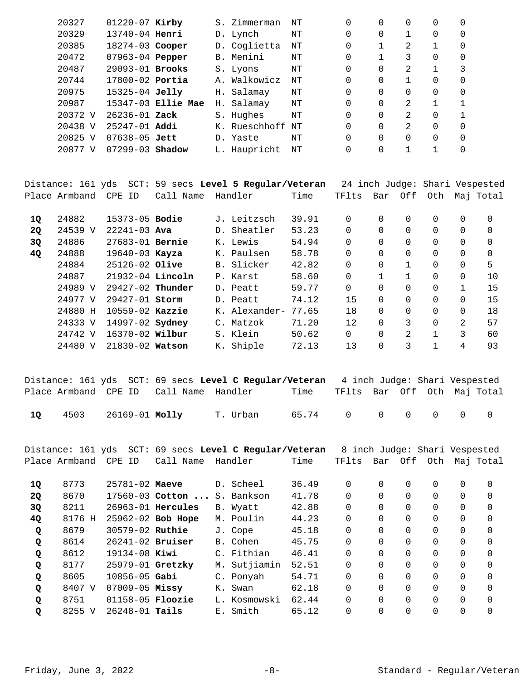| 20327   | $01220 - 07$ Kirby  |                    | S. Zimmerman  | ΝT | 0        | 0 |               | 0 |   |
|---------|---------------------|--------------------|---------------|----|----------|---|---------------|---|---|
| 20329   | 13740-04 Henri      |                    | D. Lynch      | NΤ | 0        | 0 |               | 0 | 0 |
| 20385   | 18274-03 Cooper     |                    | D. Coglietta  | NΤ | 0        |   | 2             |   | 0 |
| 20472   | 07963-04 Pepper     |                    | B. Menini     | NΤ | $\Omega$ |   | 3             | 0 | 0 |
| 20487   | 29093-01 Brooks     |                    | S. Lyons      | NΤ | $\Omega$ | 0 | 2             | 1 | 3 |
| 20744   | $17800 - 02$ Portia |                    | A. Walkowicz  | ΝT | 0        | 0 |               | 0 | 0 |
| 20975   | $15325 - 04$ Jelly  |                    | H. Salamay    | ΝT | 0        | 0 | 0             | 0 | 0 |
| 20987   |                     | 15347-03 Ellie Mae | H. Salamay    | ΝT | $\Omega$ | 0 | 2             |   |   |
| 20372 V | $26236 - 01$ Zack   |                    | S. Hughes     | ΝT | $\Omega$ | 0 | 2             | 0 |   |
| 20438 V | $25247 - 01$ Addi   |                    | K. Rueschhoff | NΤ | $\Omega$ | 0 | $\mathcal{L}$ | 0 | 0 |
| 20825 V | $07638 - 05$ Jett   |                    | D. Yaste      | NΤ | $\Omega$ | 0 | 0             | 0 | 0 |
| 20877 V | 07299-03            | Shadow             | L. Haupricht  | NΤ | 0        | 0 |               |   | 0 |
|         |                     |                    |               |    |          |   |               |   |   |

|           |               |                       |           | Distance: 161 yds  SCT: 59 secs <b>Level 5 Reqular/Veteran</b> |       |          |          |          | 24 inch Judge: Shari Vespested |          |           |
|-----------|---------------|-----------------------|-----------|----------------------------------------------------------------|-------|----------|----------|----------|--------------------------------|----------|-----------|
|           | Place Armband | CPE ID                | Call Name | Handler                                                        | Time  | TFlts    | Bar      | Off      | Oth                            |          | Maj Total |
| 10        | 24882         | 15373-05 <b>Bodie</b> |           | J. Leitzsch                                                    | 39.91 | $\Omega$ | $\Omega$ | $\Omega$ | 0                              | $\Omega$ | $\Omega$  |
| <b>2Q</b> | 24539 V       | $22241 - 03$ Ava      |           | D. Sheatler                                                    | 53.23 | 0        | 0        | $\Omega$ | 0                              | $\Omega$ | $\Omega$  |
| 3Q        | 24886         | 27683-01 Bernie       |           | K. Lewis                                                       | 54.94 | $\Omega$ | $\Omega$ | $\Omega$ | 0                              | $\Omega$ | $\Omega$  |
| 4Q        | 24888         | $19640 - 03$ Kayza    |           | K. Paulsen                                                     | 58.78 | 0        | 0        | $\Omega$ | 0                              | 0        | $\Omega$  |
|           | 24884         | 25126-02 Olive        |           | B. Slicker                                                     | 42.82 | $\Omega$ | 0        | 1        | 0                              | $\Omega$ | 5         |
|           | 24887         | $21932-04$ Lincoln    |           | P. Karst                                                       | 58.60 | 0        |          |          | 0                              | $\Omega$ | 10        |
|           | 24989 V       | $29427-02$ Thunder    |           | D. Peatt                                                       | 59.77 | $\Omega$ | 0        | $\Omega$ | 0                              | 1        | 15        |
|           | 24977 V       | 29427-01 Storm        |           | D. Peatt                                                       | 74.12 | 15       | $\Omega$ | $\Omega$ | 0                              | $\Omega$ | 15        |
|           | 24880 H       | $10559-02$ Kazzie     |           | K. Alexander-                                                  | 77.65 | 18       | $\Omega$ | $\Omega$ | 0                              | $\Omega$ | 18        |
|           | 24333 V       | 14997-02 Sydney       |           | C. Matzok                                                      | 71.20 | 12       | $\Omega$ | 3        | $\Omega$                       | 2        | 57        |
|           | 24742 V       | 16370-02 Wilbur       |           | S. Klein                                                       | 50.62 | $\Omega$ | $\Omega$ | 2        | $\mathbf{1}$                   | 3        | 60        |
|           | 24480 V       | 21830-02 Watson       |           | K. Shiple                                                      | 72.13 | 13       | $\Omega$ | 3        | 1                              | 4        | 93        |
|           |               |                       |           |                                                                |       |          |          |          |                                |          |           |

|      |                     |                                        | Distance: 161 yds SCT: 69 secs Level C Regular/Veteran 4 inch Judge: Shari Vespested |                   |                            |  |  |  |
|------|---------------------|----------------------------------------|--------------------------------------------------------------------------------------|-------------------|----------------------------|--|--|--|
|      |                     | Place Armband CPE ID Call Name Handler |                                                                                      | Time              | TFlts Bar Off Oth MajTotal |  |  |  |
| - 10 | 4503 26169-01 Molly |                                        | T. Urban                                                                             | 65.74 0 0 0 0 0 0 |                            |  |  |  |

Distance: 161 yds SCT: 69 secs **Level C Regular/Veteran** 8 inch Judge: Shari Vespested Place Armband CPE ID Call Name Handler Time TFlts Bar Off Oth Maj Total 8773 25781-02 D. Scheel 36.49 0 0 0 0 0 0 **1Q Maeve**  20 8670 17560-03 Cotton ... S. Bankson 41.78 0 0 0 0 0 0 0 8211 26963-01 B. Wyatt 42.88 0 0 0 0 0 0 **3Q Hercules**  8176 H 25962-02 M. Poulin 44.23 0 0 0 0 0 0 **4Q Bob Hope**  8679 30579-02 J. Cope 45.18 0 0 0 0 0 0 **Q Ruthie Q** 8614 26241-02 **Bruiser** B. Cohen 45.75 0 0 0 0 0 0 0 8612 19134-08 C. Fithian 46.41 0 0 0 0 0 0 **Q Kiwi**  8177 25979-01 M. Sutjiamin 52.51 0 0 0 0 0 0 **Q Gretzky**  8605 10856-05 C. Ponyah 54.71 0 0 0 0 0 0 **Q Gabi**  8407 V 07009-05 K. Swan 62.18 0 0 0 0 0 0 **Q Missy**  8751 01158-05 L. Kosmowski 62.44 0 0 0 0 0 0 **Q Floozie**  8255 V 26248-01 E. Smith 65.12 0 0 0 0 0 0 **Q Tails**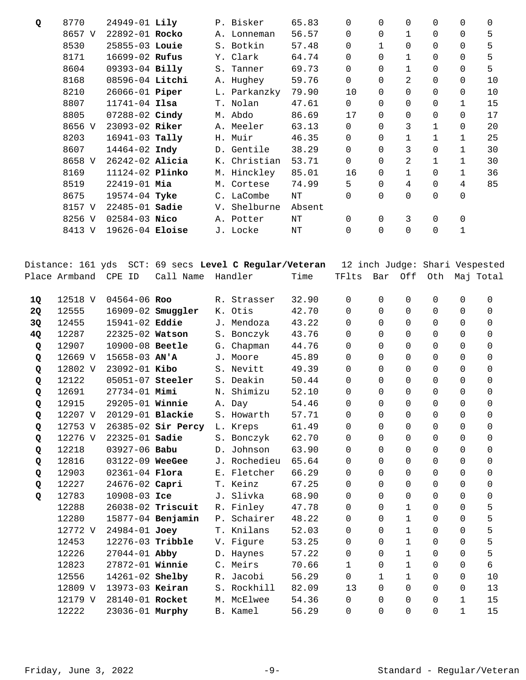| Q         | 8770          | 24949-01 Lily           |                                                                     |    | P. Bisker    | 65.83     | 0              | 0            | 0            | 0                                     | $\mathbf 0$  | $\mathbf 0$ |
|-----------|---------------|-------------------------|---------------------------------------------------------------------|----|--------------|-----------|----------------|--------------|--------------|---------------------------------------|--------------|-------------|
|           | 8657 V        | 22892-01 Rocko          |                                                                     |    | A. Lonneman  | 56.57     | 0              | 0            | $\mathbf{1}$ | 0                                     | 0            | 5           |
|           | 8530          | 25855-03 Louie          |                                                                     |    | S. Botkin    | 57.48     | 0              | $\mathbf{1}$ | $\Omega$     | 0                                     | $\Omega$     | 5           |
|           | 8171          | 16699-02 Rufus          |                                                                     |    | Y. Clark     | 64.74     | 0              | $\Omega$     | $\mathbf{1}$ | 0                                     | 0            | 5           |
|           | 8604          | 09393-04 Billy          |                                                                     |    | S. Tanner    | 69.73     | 0              | $\Omega$     | $\mathbf{1}$ | 0                                     | 0            | 5           |
|           | 8168          | 08596-04 Litchi         |                                                                     |    | A. Hughey    | 59.76     | 0              | $\Omega$     | 2            | 0                                     | 0            | 10          |
|           | 8210          | 26066-01 Piper          |                                                                     |    | L. Parkanzky | 79.90     | 10             | $\Omega$     | 0            | 0                                     | 0            | 10          |
|           | 8807          | $11741 - 04$ Ilsa       |                                                                     |    | T. Nolan     | 47.61     | $\mathsf{O}$   | $\Omega$     | 0            | 0                                     | $\mathbf{1}$ | 15          |
|           | 8805          | 07288-02 Cindy          |                                                                     |    | M. Abdo      | 86.69     | 17             | $\Omega$     | $\mathbf 0$  | $\mathbf 0$                           | 0            | 17          |
|           | 8656 V        | 23093-02 Riker          |                                                                     |    | A. Meeler    | 63.13     | 0              | $\Omega$     | 3            | $\mathbf 1$                           | 0            | 20          |
|           | 8203          | 16941-03 Tally          |                                                                     |    | H. Muir      | 46.35     | 0              | $\Omega$     | $\mathbf{1}$ | 1                                     | 1            | 25          |
|           | 8607          | 14464-02 Indy           |                                                                     |    | D. Gentile   | 38.29     | 0              | $\Omega$     | 3            | 0                                     | $\mathbf{1}$ | 30          |
|           | 8658 V        | 26242-02 Alicia         |                                                                     |    | K. Christian | 53.71     | 0              | $\mathbf 0$  | 2            | $\mathbf 1$                           | $\mathbf{1}$ | 30          |
|           | 8169          | 11124-02 Plinko         |                                                                     |    | M. Hinckley  | 85.01     | 16             | $\Omega$     | 1            | 0                                     | 1            | 36          |
|           | 8519          | 22419-01 Mia            |                                                                     |    | M. Cortese   | 74.99     | 5              | $\Omega$     | 4            | 0                                     | 4            | 85          |
|           | 8675          | 19574-04 Tyke           |                                                                     |    | C. LaCombe   | $\rm{NT}$ | $\Omega$       | $\Omega$     | $\Omega$     | 0                                     | 0            |             |
|           | 8157 V        | $22485 - 01$ Sadie      |                                                                     |    | V. Shelburne |           |                |              |              |                                       |              |             |
|           |               |                         |                                                                     |    |              | Absent    |                |              |              |                                       |              |             |
|           | 8256 V        | $02584 - 03$ Nico       |                                                                     |    | A. Potter    | $\rm{NT}$ | 0              | $\mathbf 0$  | 3            | 0                                     | 0            |             |
|           | 8413 V        | 19626-04 Eloise         |                                                                     |    | J. Locke     | $\rm{NT}$ | 0              | $\Omega$     | $\Omega$     | $\mathbf 0$                           | $\mathbf{1}$ |             |
|           | Place Armband | CPE ID                  | Distance: 161 yds SCT: 69 secs Level C Regular/Veteran<br>Call Name |    | Handler      | Time      | TFlts          | Bar          | Off          | 12 inch Judge: Shari Vespested<br>Oth |              | Maj Total   |
|           |               |                         |                                                                     |    |              |           |                |              |              |                                       |              |             |
| <b>1Q</b> | 12518 V       | 04564-06 Roo            |                                                                     |    | R. Strasser  | 32.90     | 0              | 0            | $\mathsf{O}$ | 0                                     | 0            | $\mathbf 0$ |
| 2Q        | 12555         |                         | 16909-02 Smuggler                                                   |    | K. Otis      | 42.70     | 0              | $\Omega$     | 0            | 0                                     | 0            | 0           |
| 3Q        | 12455         | 15941-02 Eddie          |                                                                     |    | J. Mendoza   | 43.22     | 0              | $\Omega$     | $\Omega$     | 0                                     | 0            | 0           |
| 4Q        | 12287         | 22325-02 Watson         |                                                                     |    | S. Bonczyk   | 43.76     | 0              | $\Omega$     | $\Omega$     | 0                                     | 0            | 0           |
| Q         | 12907         | 10900-08 Beetle         |                                                                     |    | G. Chapman   | 44.76     | 0              | $\Omega$     | 0            | 0                                     | 0            | 0           |
| Q         | 12669 V       | 15658-03 AN'A           |                                                                     |    | J. Moore     | 45.89     | 0              | $\Omega$     | $\Omega$     | 0                                     | 0            | 0           |
| Q         | 12802 V       | 23092-01 Kibo           |                                                                     |    | S. Nevitt    | 49.39     | 0              | $\Omega$     | $\Omega$     | 0                                     | 0            | 0           |
| Q         | 12122         | 05051-07 Steeler        |                                                                     |    | S. Deakin    | 50.44     | 0              | $\Omega$     | 0            | 0                                     | $\mathbf 0$  | 0           |
| Q         | 12691         | 27734-01 Mimi           |                                                                     |    | N. Shimizu   | 52.10     | 0              | $\mathbf 0$  | 0            | 0                                     | 0            | 0           |
| Q         | 12915         | 29205-01 Winnie         |                                                                     |    | A. Day       | 54.46     | $\overline{0}$ | $\mathsf{O}$ | $\mathbf 0$  | $\mathsf{O}$                          | $\mathsf{O}$ | $\mathbf 0$ |
| Q         | 12207 V       | 20129-01 <b>Blackie</b> |                                                                     |    | S. Howarth   | 57.71     | 0              | 0            | 0            | 0                                     | 0            | 0           |
| Q         | 12753 V       |                         | 26385-02 Sir Percy                                                  |    | L. Kreps     | 61.49     | 0              | $\Omega$     | 0            | 0                                     | 0            | 0           |
| Q         | 12276 V       | 22325-01 Sadie          |                                                                     |    | S. Bonczyk   | 62.70     | 0              | $\Omega$     | 0            | 0                                     | 0            | 0           |
| Q         | 12218         | 03927-06 Babu           |                                                                     |    | D. Johnson   | 63.90     | 0              | 0            | 0            | $\mathbf 0$                           | 0            | $\mathbf 0$ |
| Q         | 12816         | 03122-09 WeeGee         |                                                                     |    | J. Rochedieu | 65.64     | 0              | 0            | $\Omega$     | 0                                     | 0            | 0           |
| Q         | 12903         | $02361 - 04$ Flora      |                                                                     |    | E. Fletcher  | 66.29     | 0              | $\Omega$     | 0            | 0                                     | 0            | 0           |
| Q         | 12227         | 24676-02 Capri          |                                                                     |    | T. Keinz     | 67.25     | 0              | $\Omega$     | 0            | 0                                     | 0            | 0           |
| Q         | 12783         | 10908-03 Ice            |                                                                     |    | J. Slivka    | 68.90     | 0              | $\mathbf 0$  | 0            | $\mathbf 0$                           | 0            | 0           |
|           | 12288         |                         | 26038-02 Triscuit                                                   |    | R. Finley    | 47.78     | 0              | $\Omega$     | $\mathbf{1}$ | 0                                     | 0            | 5           |
|           | 12280         |                         | 15877-04 Benjamin                                                   | P. | Schairer     | 48.22     | 0              | $\Omega$     | $\mathbf 1$  | 0                                     | 0            | 5           |
|           | 12772 V       | 24984-01 Joey           |                                                                     |    | T. Knilans   | 52.03     | 0              | $\Omega$     | $\mathbf{1}$ | 0                                     | 0            | 5           |
|           | 12453         | 12276-03 Tribble        |                                                                     |    | V. Figure    | 53.25     | 0              | $\Omega$     | $\mathbf{1}$ | 0                                     | 0            | 5           |
|           | 12226         | 27044-01 Abby           |                                                                     |    | D. Haynes    | 57.22     | 0              | $\Omega$     | $\mathbf{1}$ | 0                                     | 0            | 5           |
|           | 12823         | 27872-01 Winnie         |                                                                     |    | C. Meirs     | 70.66     | $\mathbf{1}$   | $\Omega$     | $\mathbf{1}$ | 0                                     | 0            | б           |
|           | 12556         | 14261-02 Shelby         |                                                                     |    | R. Jacobi    | 56.29     | 0              | $\mathbf 1$  | $\mathbf{1}$ | 0                                     | 0            | 10          |
|           | 12809 V       | 13973-03 Keiran         |                                                                     |    | S. Rockhill  | 82.09     | 13             | $\Omega$     | 0            | 0                                     | 0            | 13          |
|           | 12179 V       | 28140-01 Rocket         |                                                                     |    | M. McElwee   | 54.36     | 0              | 0            | 0            | 0                                     | 1            | 15          |
|           | 12222         | 23036-01 Murphy         |                                                                     |    | B. Kamel     | 56.29     | 0              | 0            | 0            | 0                                     | 1            | 15          |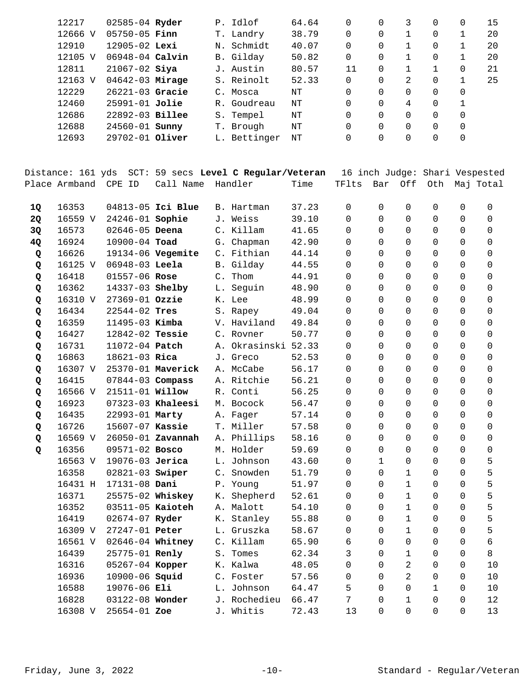| 12217   | 02585-04 Ryder        |                 | P. Idlof     | 64.64 | 0  | 0        | 3 | 0 |          | 15 |
|---------|-----------------------|-----------------|--------------|-------|----|----------|---|---|----------|----|
| 12666 V | $05750 - 05$ Finn     | Т.              | Landry       | 38.79 | 0  | $\Omega$ |   | 0 |          | 20 |
| 12910   | $12905 - 02$ Lexi     | Ν.              | Schmidt      | 40.07 | 0  | 0        |   | 0 |          | 20 |
| 12105 V | $06948 - 04$ Calvin   |                 | B. Gilday    | 50.82 | 0  | 0        |   | 0 |          | 20 |
| 12811   | $21067 - 02$ Siya     |                 | J. Austin    | 80.57 | 11 | 0        |   |   | 0        | 21 |
| 12163 V | $04642 - 03$ Mirage   |                 | S. Reinolt   | 52.33 | 0  | $\Omega$ | 2 | 0 |          | 25 |
| 12229   | $26221 - 03$ Gracie   | $\mathcal{C}$ . | Mosca        | NΤ    | 0  | $\Omega$ |   | 0 | 0        |    |
| 12460   | 25991-01 Jolie        |                 | R. Goudreau  | NΤ    | 0  | 0        | 4 | 0 |          |    |
| 12686   | 22892-03 Billee       |                 | S. Tempel    | NΤ    | 0  | $\Omega$ | 0 | 0 | $\Omega$ |    |
| 12688   | 24560-01 <b>Sunny</b> |                 | T. Brough    | NΤ    | 0  | $\Omega$ |   | 0 |          |    |
| 12693   | $29702 - 01$ Oliver   |                 | L. Bettinger | NΤ    | 0  | $\Omega$ |   | 0 |          |    |
|         |                       |                 |              |       |    |          |   |   |          |    |

Distance: 161 yds SCT: 59 secs **Level C Regular/Veteran** 16 inch Judge: Shari Vespested Place Armband CPE ID Call Name Handler Time TFlts Bar Off Oth Maj Total

| 1Q | 16353   |                        | 04813-05 Ici Blue |                | B. Hartman   | 37.23 | $\Omega$       | $\Omega$     | $\Omega$       | 0            | $\Omega$ | 0                   |
|----|---------|------------------------|-------------------|----------------|--------------|-------|----------------|--------------|----------------|--------------|----------|---------------------|
| 2Q | 16559 V | 24246-01 Sophie        |                   |                | J. Weiss     | 39.10 | $\Omega$       | $\Omega$     | 0              | 0            | $\Omega$ | 0                   |
| 3Q | 16573   | $02646 - 05$ Deena     |                   |                | C. Killam    | 41.65 | $\Omega$       | $\Omega$     | $\mathbf 0$    | $\Omega$     | $\Omega$ | $\mathbf 0$         |
| 4Q | 16924   | 10900-04 Toad          |                   |                | G. Chapman   | 42.90 | $\Omega$       | $\Omega$     | $\mathbf 0$    | 0            | 0        | $\mathbf 0$         |
| Q  | 16626   |                        | 19134-06 Vegemite |                | C. Fithian   | 44.14 | $\Omega$       | $\Omega$     | $\Omega$       | $\Omega$     | 0        | $\mathbf 0$         |
| Q  | 16125 V | 06948-03 Leela         |                   |                | B. Gilday    | 44.55 | 0              | $\Omega$     | $\Omega$       | 0            | 0        | $\mathbf 0$         |
| Q  | 16418   | 01557-06 Rose          |                   | $\mathsf{C}$ . | Thom         | 44.91 | 0              | $\Omega$     | $\mathbf 0$    | 0            | 0        | $\mathsf{O}\xspace$ |
| Q  | 16362   | 14337-03 Shelby        |                   | L.             | Seguin       | 48.90 | 0              | 0            | 0              | 0            | 0        | $\mathbf 0$         |
| Q  | 16310 V | 27369-01 Ozzie         |                   |                | K. Lee       | 48.99 | 0              | $\Omega$     | $\mathbf 0$    | 0            | 0        | $\mathbf 0$         |
| Q  | 16434   | 22544-02 Tres          |                   |                | S. Rapey     | 49.04 | $\Omega$       | $\Omega$     | $\Omega$       | 0            | $\Omega$ | $\Omega$            |
| Q  | 16359   | 11495-03 Kimba         |                   |                | V. Haviland  | 49.84 | $\Omega$       | $\Omega$     | $\Omega$       | 0            | $\Omega$ | $\Omega$            |
| Q  | 16427   | 12842-02 Tessie        |                   |                | C. Rovner    | 50.77 | $\Omega$       | $\Omega$     | $\Omega$       | 0            | $\Omega$ | $\Omega$            |
| Q  | 16731   | 11072-04 Patch         |                   | Α.             | Okrasinski   | 52.33 | $\Omega$       | $\Omega$     | $\Omega$       | 0            | $\Omega$ | $\Omega$            |
| Q  | 16863   | 18621-03 Rica          |                   |                | J. Greco     | 52.53 | $\Omega$       | $\Omega$     | $\Omega$       | 0            | $\Omega$ | $\Omega$            |
| Q  | 16307 V |                        | 25370-01 Maverick |                | A. McCabe    | 56.17 | $\Omega$       | $\Omega$     | $\Omega$       | 0            | $\Omega$ | $\Omega$            |
| Q  | 16415   | 07844-03 Compass       |                   |                | A. Ritchie   | 56.21 | $\Omega$       | $\Omega$     | $\Omega$       | 0            | $\Omega$ | $\Omega$            |
| Q  | 16566 V | 21511-01 <b>Willow</b> |                   | R.             | Conti        | 56.25 | $\Omega$       | $\Omega$     | $\Omega$       | 0            | $\Omega$ | $\Omega$            |
| Q  | 16923   |                        | 07323-03 Khaleesi |                | M. Bocock    | 56.47 | $\Omega$       | $\Omega$     | 0              | $\Omega$     | $\Omega$ | $\Omega$            |
| Q  | 16435   | 22993-01 Marty         |                   |                | A. Fager     | 57.14 | $\Omega$       | $\Omega$     | $\Omega$       | $\Omega$     | $\Omega$ | $\Omega$            |
| Q  | 16726   | 15607-07 Kassie        |                   |                | T. Miller    | 57.58 | $\Omega$       | $\Omega$     | $\Omega$       | $\Omega$     | $\Omega$ | $\Omega$            |
| Q  | 16569 V |                        | 26050-01 Zavannah |                | A. Phillips  | 58.16 | $\Omega$       | $\Omega$     | $\Omega$       | $\Omega$     | $\Omega$ | $\Omega$            |
| Q  | 16356   | 09571-02 Bosco         |                   |                | M. Holder    | 59.69 | $\Omega$       | $\Omega$     | $\Omega$       | $\Omega$     | $\Omega$ | $\Omega$            |
|    | 16563 V | 19076-03 Jerica        |                   |                | L. Johnson   | 43.60 | $\Omega$       | $\mathbf{1}$ | $\Omega$       | $\Omega$     | $\Omega$ | 5                   |
|    | 16358   | 02821-03 Swiper        |                   |                | C. Snowden   | 51.79 | $\Omega$       | $\Omega$     | $\mathbf 1$    | 0            | $\Omega$ | 5                   |
|    | 16431 H | 17131-08 Dani          |                   |                | P. Young     | 51.97 | $\Omega$       | $\Omega$     | $\mathbf{1}$   | 0            | $\Omega$ | 5                   |
|    | 16371   | 25575-02 Whiskey       |                   | К.             | Shepherd     | 52.61 | $\Omega$       | $\Omega$     | $\mathbf{1}$   | 0            | $\Omega$ | 5                   |
|    | 16352   | 03511-05 Kaioteh       |                   |                | A. Malott    | 54.10 | $\Omega$       | $\Omega$     | $\mathbf{1}$   | 0            | $\Omega$ | 5                   |
|    | 16419   | 02674-07 Ryder         |                   | К.             | Stanley      | 55.88 | $\Omega$       | $\Omega$     | $\mathbf{1}$   | 0            | $\Omega$ | 5                   |
|    | 16309 V | 27247-01 Peter         |                   |                | L. Gruszka   | 58.67 | $\Omega$       | $\Omega$     | $\mathbf{1}$   | $\Omega$     | $\Omega$ | 5                   |
|    | 16561 V | 02646-04 Whitney       |                   |                | C. Killam    | 65.90 | 6              | $\Omega$     | $\Omega$       | 0            | $\Omega$ | 6                   |
|    | 16439   | 25775-01 Renly         |                   | S.             | Tomes        | 62.34 | 3              | $\Omega$     | $\mathbf 1$    | 0            | $\Omega$ | 8                   |
|    | 16316   | 05267-04 Kopper        |                   |                | K. Kalwa     | 48.05 | $\Omega$       | $\Omega$     | 2              | 0            | $\Omega$ | 10                  |
|    | 16936   | 10900-06 Squid         |                   |                | C. Foster    | 57.56 | $\Omega$       | $\Omega$     | $\overline{2}$ | 0            | $\Omega$ | 10                  |
|    | 16588   | 19076-06 Eli           |                   | L.             | Johnson      | 64.47 | 5              | $\Omega$     | $\Omega$       | $\mathbf{1}$ | $\Omega$ | 10                  |
|    | 16828   | 03122-08 Wonder        |                   |                | J. Rochedieu | 66.47 | $\overline{7}$ | $\Omega$     | $\mathbf 1$    | 0            | $\Omega$ | 12                  |
|    | 16308 V | 25654-01 Zoe           |                   |                | J. Whitis    | 72.43 | 13             | $\Omega$     | 0              | 0            | $\Omega$ | 13                  |
|    |         |                        |                   |                |              |       |                |              |                |              |          |                     |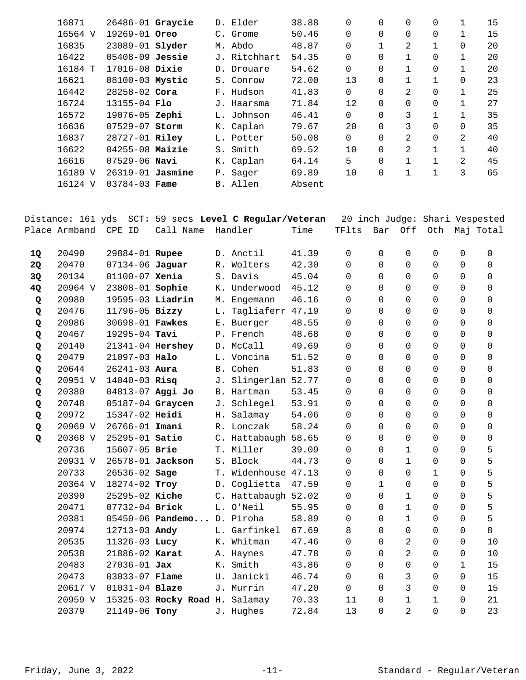| 16871   | 26486-01 Graycie       |    | D. Elder     | 38.88  | 0              | 0        | 0            | 0            | 1            | 15 |
|---------|------------------------|----|--------------|--------|----------------|----------|--------------|--------------|--------------|----|
| 16564 V | 19269-01 Oreo          |    | C. Grome     | 50.46  | 0              | 0        | $\Omega$     | 0            | 1            | 15 |
| 16835   | 23089-01 <b>Slyder</b> |    | M. Abdo      | 48.87  | 0              |          | 2            | $\mathbf{1}$ | 0            | 20 |
| 16422   | $05408 - 09$ Jessie    |    | J. Ritchhart | 54.35  | $\overline{0}$ | 0        | $\mathbf{1}$ | 0            | 1            | 20 |
| 16184 T | 17016-08 Dixie         |    | D. Drouare   | 54.62  | 0              | $\Omega$ | $\mathbf{1}$ | 0            | 1            | 20 |
| 16621   | 08100-03 Mystic        |    | S. Conrow    | 72.00  | 13             | 0        | 1            | $\mathbf{1}$ | 0            | 23 |
| 16442   | $28258 - 02$ Cora      |    | F. Hudson    | 41.83  | 0              | $\Omega$ | 2            | 0            | 1            | 25 |
| 16724   | $13155 - 04$ Flo       |    | J. Haarsma   | 71.84  | 12             | $\Omega$ | $\Omega$     | 0            | 1            | 27 |
| 16572   | 19076-05 Zephi         | L. | Johnson      | 46.41  | $\Omega$       | $\Omega$ | 3            | $\mathbf{1}$ | 1            | 35 |
| 16636   | 07529-07 Storm         |    | K. Caplan    | 79.67  | 20             | $\Omega$ | 3            | $\Omega$     | $\Omega$     | 35 |
| 16837   | 28727-01 Riley         |    | L. Potter    | 50.08  | $\Omega$       | $\Omega$ | 2            | 0            | 2            | 40 |
| 16622   | $04255 - 08$ Maizie    | S. | Smith        | 69.52  | 10             | $\Omega$ | 2            | $\mathbf{1}$ | $\mathbf{1}$ | 40 |
| 16616   | $07529 - 06$ Navi      |    | K. Caplan    | 64.14  | 5              | $\Omega$ | 1            | 1            | 2            | 45 |
| 16189 V | 26319-01 Jasmine       | Ρ. | Saqer        | 69.89  | 10             | 0        | 1            | 1            | 3            | 65 |
| 16124 V | $03784 - 03$ Fame      |    | B. Allen     | Absent |                |          |              |              |              |    |
|         |                        |    |              |        |                |          |              |              |              |    |

|           | Distance: 161 yds |                    |                            |    | SCT: 59 secs Level C Regular/Veteran |       |          |              |                | 20 inch Judge: Shari Vespested |                |             |
|-----------|-------------------|--------------------|----------------------------|----|--------------------------------------|-------|----------|--------------|----------------|--------------------------------|----------------|-------------|
|           | Place Armband     | CPE ID             | Call Name                  |    | Handler                              | Time  | TFlts    | Bar          | Off            | Oth                            |                | Maj Total   |
| <b>1Q</b> | 20490             | 29884-01 Rupee     |                            |    | D. Anctil                            | 41.39 | $\Omega$ | $\Omega$     | $\Omega$       | $\Omega$                       | $\Omega$       | 0           |
| 2Q        | 20470             | 07134-06 Jaguar    |                            |    | R. Wolters                           | 42.30 | $\Omega$ | $\Omega$     | $\Omega$       | $\Omega$                       | $\Omega$       | $\mathbf 0$ |
| 3Q        | 20134             | $01100 - 07$ Xenia |                            |    | S. Davis                             | 45.04 | 0        | $\Omega$     | $\mathbf 0$    | 0                              | $\mathbf 0$    | $\mathbf 0$ |
| 4Q        | 20964 V           | 23808-01 Sophie    |                            |    | K. Underwood                         | 45.12 | 0        | $\Omega$     | $\Omega$       | $\mathbf 0$                    | $\mathbf 0$    | $\mathbf 0$ |
| Q         | 20980             | 19595-03 Liadrin   |                            |    | M. Engemann                          | 46.16 | $\Omega$ | $\Omega$     | $\Omega$       | $\Omega$                       | $\Omega$       | $\Omega$    |
| Q         | 20476             | 11796-05 Bizzy     |                            | L. | Tagliaferr 47.19                     |       | $\Omega$ | $\Omega$     | $\Omega$       | 0                              | $\mathbf 0$    | $\mathbf 0$ |
| Q         | 20986             | 30698-01 Fawkes    |                            |    | E. Buerger                           | 48.55 | 0        | $\Omega$     | $\Omega$       | $\mathbf 0$                    | 0              | $\mathbf 0$ |
| Q         | 20467             | 19295-04 Tavi      |                            |    | P. French                            | 48.68 | 0        | $\Omega$     | $\Omega$       | 0                              | $\mathbf 0$    | $\mathbf 0$ |
| Q         | 20140             | 21341-04 Hershey   |                            |    | D. McCall                            | 49.69 | $\Omega$ | $\Omega$     | $\Omega$       | $\Omega$                       | $\Omega$       | $\Omega$    |
| Q         | 20479             | 21097-03 Halo      |                            |    | L. Voncina                           | 51.52 | 0        | $\Omega$     | $\Omega$       | $\Omega$                       | $\Omega$       | $\mathbf 0$ |
| Q         | 20644             | $26241 - 03$ Aura  |                            |    | B. Cohen                             | 51.83 | 0        | $\Omega$     | $\Omega$       | $\Omega$                       | $\mathbf 0$    | $\mathbf 0$ |
| Q         | 20951 V           | $14040 - 03$ Risq  |                            | J. | Slingerlan 52.77                     |       | 0        | $\Omega$     | $\Omega$       | $\mathbf 0$                    | $\mathbf 0$    | $\mathbf 0$ |
| Q         | 20380             | 04813-07 Aggi Jo   |                            |    | B. Hartman                           | 53.45 | 0        | $\Omega$     | $\Omega$       | $\mathbf 0$                    | 0              | 0           |
| Q         | 20748             | 05187-04 Graycen   |                            | J. | Schlegel                             | 53.91 | $\Omega$ | $\Omega$     | $\Omega$       | $\Omega$                       | $\Omega$       | $\Omega$    |
| Q         | 20972             | 15347-02 Heidi     |                            | Н. | Salamay                              | 54.06 | $\Omega$ | $\Omega$     | $\Omega$       | $\Omega$                       | 0              | $\mathbf 0$ |
| Q         | 20969 V           | 26766-01 Imani     |                            |    | R. Lonczak                           | 58.24 | $\Omega$ | $\Omega$     | $\Omega$       | 0                              | $\mathbf 0$    | $\mathbf 0$ |
| Q         | 20368 V           | 25295-01 Satie     |                            |    | C. Hattabaugh 58.65                  |       | 0        | $\Omega$     | $\Omega$       | $\mathbf 0$                    | $\mathbf 0$    | 0           |
|           | 20736             | 15607-05 Brie      |                            |    | T. Miller                            | 39.09 | 0        | $\Omega$     | $\mathbf{1}$   | $\Omega$                       | $\Omega$       | 5           |
|           | 20931 V           | 26578-01 Jackson   |                            |    | S. Block                             | 44.73 | 0        | $\Omega$     | $\mathbf{1}$   | $\Omega$                       | $\mathbf 0$    | 5           |
|           | 20733             | $26536 - 02$ Sage  |                            |    | T. Widenhouse 47.13                  |       | 0        | $\Omega$     | $\Omega$       | $\mathbf{1}$                   | $\mathbf 0$    | 5           |
|           | 20364 V           | 18274-02 Troy      |                            |    | D. Coglietta                         | 47.59 | 0        | $\mathbf{1}$ | $\Omega$       | 0                              | 0              | 5           |
|           | 20390             | 25295-02 Kiche     |                            |    | C. Hattabaugh 52.02                  |       | $\Omega$ | $\Omega$     | $\mathbf{1}$   | $\Omega$                       | $\Omega$       | 5           |
|           | 20471             | 07732-04 Brick     |                            |    | L. O'Neil                            | 55.95 | $\Omega$ | $\Omega$     | $\mathbf{1}$   | 0                              | $\mathbf 0$    | 5           |
|           | 20381             |                    | 05450-06 Pandemo D. Piroha |    |                                      | 58.89 | 0        | $\Omega$     | $\mathbf{1}$   | 0                              | $\mathbf 0$    | 5           |
|           | 20974             | 12713-03 Andy      |                            |    | L. Garfinkel                         | 67.69 | 8        | $\Omega$     | $\Omega$       | 0                              | $\mathbf 0$    | 8           |
|           | 20535             | 11326-03 Lucy      |                            |    | K. Whitman                           | 47.46 | 0        | $\Omega$     | $\overline{2}$ | $\Omega$                       | $\Omega$       | 10          |
|           | 20538             | 21886-02 Karat     |                            |    | A. Haynes                            | 47.78 | 0        | $\Omega$     | $\overline{2}$ | $\Omega$                       | $\mathbf 0$    | 10          |
|           | 20483             | $27036 - 01$ Jax   |                            | К. | Smith                                | 43.86 | $\Omega$ | $\Omega$     | $\Omega$       | $\mathbf 0$                    | $\mathbf 1$    | 15          |
|           | 20473             | 03033-07 Flame     |                            | U. | Janicki                              | 46.74 | $\Omega$ | $\Omega$     | $\mathbf{3}$   | $\mathbf 0$                    | $\mathbf 0$    | 15          |
|           | 20617 V           | $01031 - 04$ Blaze |                            |    | J. Murrin                            | 47.20 | $\Omega$ | $\Omega$     | 3              | $\Omega$                       | $\Omega$       | 15          |
|           | 20959 V           |                    | 15325-03 Rocky Road H.     |    | Salamay                              | 70.33 | 11       | $\Omega$     | $\mathbf{1}$   | $\mathbf{1}$                   | $\overline{0}$ | 21          |
|           | 20379             | 21149-06 Tony      |                            |    | J. Hughes                            | 72.84 | 13       | $\Omega$     | $\overline{a}$ | $\Omega$                       | $\Omega$       | 23          |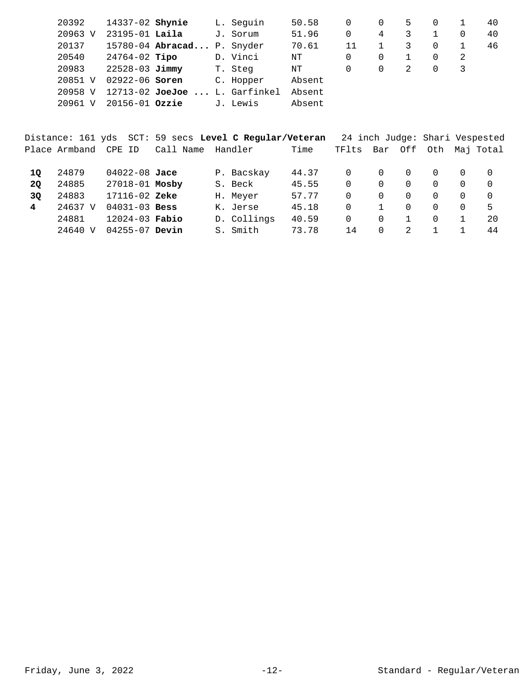| 20392             | 14337-02 <b>Shynie</b> |                                   | L. Seguin | 50.58  | 0  | $\Omega$ | 5 | $\Omega$ |    | 40 |
|-------------------|------------------------|-----------------------------------|-----------|--------|----|----------|---|----------|----|----|
| 20963 V           | $23195 - 01$ Laila     |                                   | J. Sorum  | 51.96  | 0  | 4        | 3 |          |    | 40 |
| 20137             |                        | 15780-04 Abracad P. Snyder        |           | 70.61  | 11 |          | 3 | 0        |    | 46 |
| 20540             | 24764-02 <b>Tipo</b>   |                                   | D. Vinci  | ΝT     | 0  | $\Omega$ |   | 0        | -2 |    |
| 20983             | $22528 - 03$ Jimmy     |                                   | T. Steg   | ΝT     | 0  | $\Omega$ | 2 | 0        | 3  |    |
| 20851 V           | $02922 - 06$ Soren     |                                   | C. Hopper | Absent |    |          |   |          |    |    |
| 20958 V           |                        | $12713 - 02$ JoeJoe  L. Garfinkel |           | Absent |    |          |   |          |    |    |
| 20961<br>$\nabla$ | $20156 - 01$ Ozzie     |                                   | J. Lewis  | Absent |    |          |   |          |    |    |
|                   |                        |                                   |           |        |    |          |   |          |    |    |

|    |               |                    | Distance: 161 yds  SCT: 59 secs <b>Level C Regular/Veteran</b> |             |       |       |          |          | 24 inch Judge: Shari Vespested |          |               |
|----|---------------|--------------------|----------------------------------------------------------------|-------------|-------|-------|----------|----------|--------------------------------|----------|---------------|
|    | Place Armband | CPE ID             | Call Name                                                      | Handler     | Time  | TFlts | Bar      | Off      |                                |          | Oth Maj Total |
| 10 | 24879         | $04022 - 08$ Jace  |                                                                | P. Bacskay  | 44.37 | 0     | 0        | $\Omega$ | $\Omega$                       | $\Omega$ | 0             |
| 20 | 24885         | 27018-01 Mosby     |                                                                | S. Beck     | 45.55 | 0     | 0        | $\Omega$ | $\Omega$                       | $\Omega$ | $\Omega$      |
| 3Q | 24883         | $17116 - 02$ Zeke  |                                                                | H. Meyer    | 57.77 | 0     | $\Omega$ | $\Omega$ | $\Omega$                       | $\Omega$ | $\Omega$      |
| 4  | 24637 V       | $04031 - 03$ Bess  |                                                                | K. Jerse    | 45.18 | 0     |          | $\Omega$ | $\Omega$                       | $\Omega$ | 5             |
|    | 24881         | $12024 - 03$ Fabio |                                                                | D. Collings | 40.59 | 0     | 0        |          | $\Omega$                       |          | 20            |
|    | 24640 V       | $04255 - 07$ Devin |                                                                | S. Smith    | 73.78 | 14    | 0        | 2        |                                |          | 44            |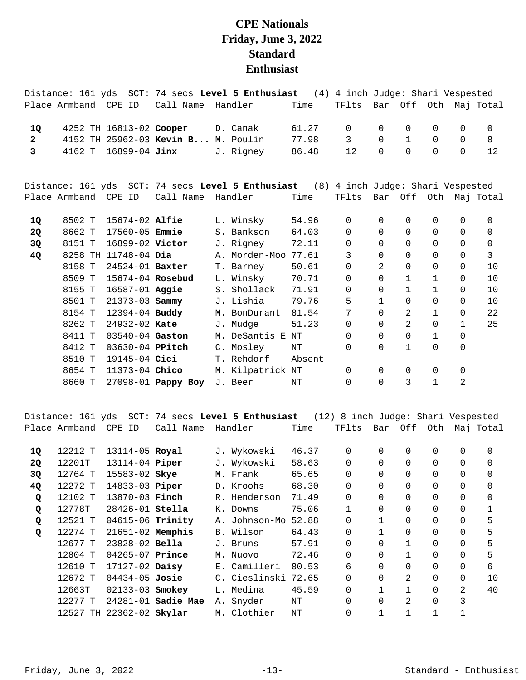## **CPE Nationals Friday, June 3, 2022 Standard Enthusiast**

|                         | Distance: 161 yds    |                         |                                    | SCT: 74 secs Level 5 Enthusiast                                                     | (4)    | 4 inch Judge: Shari Vespested |                |              |              |              |                       |
|-------------------------|----------------------|-------------------------|------------------------------------|-------------------------------------------------------------------------------------|--------|-------------------------------|----------------|--------------|--------------|--------------|-----------------------|
|                         | Place Armband        | CPE ID                  | Call Name                          | Handler                                                                             | Time   | TFlts                         |                | Bar Off Oth  |              |              | Maj Total             |
| 1Q                      |                      | 4252 TH 16813-02 Cooper |                                    | D. Canak                                                                            | 61.27  | $\Omega$                      | 0              | 0            | 0            | $\Omega$     | $\mathbf 0$           |
| $\mathbf{2}$            |                      |                         | 4152 TH 25962-03 Kevin B M. Poulin |                                                                                     | 77.98  | 3                             | $\Omega$       | $\mathbf{1}$ | $\Omega$     | $\Omega$     | 8                     |
| $\overline{\mathbf{3}}$ | 4162 T               | 16899-04 Jinx           |                                    | J. Rigney                                                                           | 86.48  | 12                            | $\Omega$       | $\Omega$     | $\Omega$     | $\Omega$     | 12                    |
|                         |                      |                         |                                    | Distance: 161 yds SCT: 74 secs Level 5 Enthusiast (8) 4 inch Judge: Shari Vespested |        |                               |                |              |              |              |                       |
|                         | Place Armband CPE ID |                         | Call Name                          | Handler                                                                             | Time   | TFlts                         |                |              |              |              | Bar Off Oth Maj Total |
| 1Q                      | 8502 T               | $15674-02$ Alfie        |                                    | L. Winsky                                                                           | 54.96  | $\mathbf 0$                   | 0              | 0            | 0            | 0            | 0                     |
| <b>2Q</b>               | 8662 T               | 17560-05 <b>Emmie</b>   |                                    | S. Bankson                                                                          | 64.03  | 0                             | 0              | 0            | 0            | 0            | 0                     |
| 3Q                      | 8151 T               | 16899-02 Victor         |                                    | J. Rigney                                                                           | 72.11  | $\Omega$                      | $\Omega$       | $\Omega$     | $\Omega$     | $\Omega$     | 0                     |
| 4Q                      |                      | 8258 TH 11748-04 Dia    |                                    | A. Morden-Moo                                                                       | 77.61  | 3                             | $\Omega$       | $\Omega$     | $\Omega$     | $\Omega$     | $\overline{3}$        |
|                         | 8158 T               | 24524-01 Baxter         |                                    | T. Barney                                                                           | 50.61  | 0                             | $\overline{2}$ | 0            | 0            | $\Omega$     | 10                    |
|                         | 8509 T               | 15674-04 Rosebud        |                                    | L. Winsky                                                                           | 70.71  | $\Omega$                      | $\Omega$       | $\mathbf 1$  | 1            | 0            | 10                    |
|                         | 8155 T               | 16587-01 Aggie          |                                    | S. Shollack                                                                         | 71.91  | $\Omega$                      | $\Omega$       | 1            | 1            | $\Omega$     | 10                    |
|                         | 8501 T               | 21373-03 Sammy          |                                    | J. Lishia                                                                           | 79.76  | 5                             | $\mathbf 1$    | $\Omega$     | 0            | $\Omega$     | 10                    |
|                         | 8154 T               | 12394-04 Buddy          |                                    | M. BonDurant                                                                        | 81.54  | 7                             | $\Omega$       | 2            | 1            | 0            | 22                    |
|                         | 8262 T               | 24932-02 Kate           |                                    | J. Mudge                                                                            | 51.23  | 0                             | $\Omega$       | 2            | 0            | $\mathbf{1}$ | 25                    |
|                         | 8411 T               | 03540-04 Gaston         |                                    | M. DeSantis E NT                                                                    |        | 0                             | $\Omega$       | 0            | $\mathbf{1}$ | 0            |                       |
|                         | 8412 T               | 03630-04 PPitch         |                                    | C. Mosley                                                                           | NT     | 0                             | $\Omega$       | $\mathbf{1}$ | 0            | 0            |                       |
|                         | 8510 T               | 19145-04 Cici           |                                    | T. Rehdorf                                                                          | Absent |                               |                |              |              |              |                       |
|                         | 8654 T               | 11373-04 Chico          |                                    | M. Kilpatrick NT                                                                    |        | $\Omega$                      | 0              | 0            | 0            | 0            |                       |
|                         | 8660 T               |                         | 27098-01 Pappy Boy                 | J. Beer                                                                             | NT     | 0                             | $\Omega$       | 3            | $\mathbf{1}$ | 2            |                       |
|                         |                      |                         |                                    |                                                                                     |        |                               |                |              |              |              |                       |

Distance: 161 yds SCT: 74 secs **Level 5 Enthusiast** (12) 8 inch Judge: Shari Vespested Place Armband CPE ID Call Name Handler Time TFlts Bar Off Oth Maj Total

| 1Q | 12212 T | 13114-05 Royal           |                    |    | J. Wykowski   | 46.37 | 0              | $\Omega$     | $\Omega$ | 0        | 0        | $\Omega$ |
|----|---------|--------------------------|--------------------|----|---------------|-------|----------------|--------------|----------|----------|----------|----------|
| 2Q | 12201T  | 13114-04 <b>Piper</b>    |                    |    | J. Wykowski   | 58.63 | 0              | $\Omega$     | $\Omega$ | 0        | $\Omega$ | $\Omega$ |
| 3Q | 12764 T | 15583-02 Skye            |                    |    | M. Frank      | 65.65 | $\Omega$       | $\Omega$     | $\Omega$ | $\Omega$ | $\Omega$ | $\Omega$ |
| 4Q | 12272 T | 14833-03 Piper           |                    |    | D. Kroohs     | 68.30 | $\Omega$       | $\Omega$     | $\Omega$ | 0        | $\Omega$ | 0        |
| Q  | 12102 T | 13870-03 Finch           |                    |    | R. Henderson  | 71.49 | $\Omega$       | $\Omega$     | $\Omega$ | $\Omega$ | $\Omega$ | $\Omega$ |
| Q  | 12778T  | 28426-01 Stella          |                    | К. | Downs         | 75.06 |                | $\Omega$     | $\Omega$ | $\Omega$ | $\Omega$ |          |
| Q  | 12521 T | 04615-06 Trinity         |                    |    | A. Johnson-Mo | 52.88 | $\Omega$       | $\mathbf{1}$ | $\Omega$ | $\Omega$ | $\Omega$ | 5        |
| Q  | 12274 T | $21651-02$ Memphis       |                    |    | B. Wilson     | 64.43 | 0              |              | $\Omega$ | 0        | $\Omega$ | 5        |
|    | 12677 T | 23828-02 Bella           |                    |    | J. Bruns      | 57.91 | $\Omega$       | $\Omega$     |          | $\Omega$ | $\Omega$ | 5        |
|    | 12804 T | $04265 - 07$ Prince      |                    |    | M. Nuovo      | 72.46 | $\overline{0}$ | $\Omega$     |          | 0        | $\Omega$ | 5        |
|    | 12610 T | 17127-02 Daisy           |                    |    | E. Camilleri  | 80.53 | 6              | $\Omega$     | $\Omega$ | $\Omega$ | $\Omega$ | 6        |
|    | 12672 T | $04434 - 05$ Josie       |                    |    | C. Cieslinski | 72.65 | $\overline{0}$ | $\Omega$     | 2        | 0        | $\Omega$ | 10       |
|    | 12663T  | 02133-03 Smokey          |                    |    | L. Medina     | 45.59 | $\Omega$       |              |          | 0        | 2        | 40       |
|    | 12277 T |                          | 24281-01 Sadie Mae |    | A. Snyder     | NΤ    | $\Omega$       | $\Omega$     | 2        | 0        | 3        |          |
|    |         | 12527 TH 22362-02 Skylar |                    |    | M. Clothier   | NΤ    | 0              |              |          |          |          |          |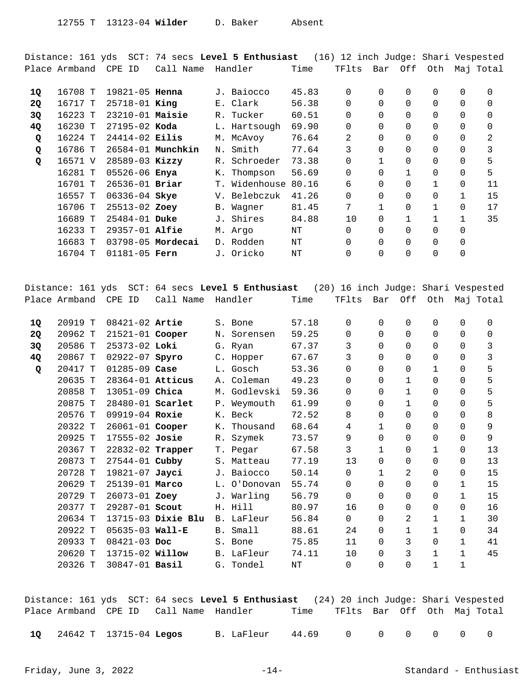Distance: 161 yds SCT: 74 secs **Level 5 Enthusiast** (16) 12 inch Judge: Shari Vespested Place Armband CPE ID Call Name Handler Time TFlts Bar Off Oth Maj Total

| 16708 T |  |                                                                                                                                                                                                                                                                                                                     |           | 45.83                                                                                                                                                    | $\Omega$      | $\Omega$     | $\Omega$ | 0            | $\Omega$     | $\Omega$ |
|---------|--|---------------------------------------------------------------------------------------------------------------------------------------------------------------------------------------------------------------------------------------------------------------------------------------------------------------------|-----------|----------------------------------------------------------------------------------------------------------------------------------------------------------|---------------|--------------|----------|--------------|--------------|----------|
| 16717 T |  |                                                                                                                                                                                                                                                                                                                     |           | 56.38                                                                                                                                                    | 0             | $\Omega$     | $\Omega$ | 0            | $\Omega$     | $\Omega$ |
| 16223 T |  |                                                                                                                                                                                                                                                                                                                     |           | 60.51                                                                                                                                                    | $\Omega$      | $\Omega$     | $\Omega$ | 0            | $\Omega$     | 0        |
| 16230 T |  |                                                                                                                                                                                                                                                                                                                     |           | 69.90                                                                                                                                                    | 0             | $\Omega$     | 0        | 0            | $\Omega$     | 0        |
| 16224 T |  |                                                                                                                                                                                                                                                                                                                     |           | 76.64                                                                                                                                                    | 2             | $\Omega$     |          | 0            | $\Omega$     | 2        |
| 16786 T |  | Ν.                                                                                                                                                                                                                                                                                                                  | Smith     | 77.64                                                                                                                                                    | 3             | $\Omega$     | $\Omega$ | $\Omega$     | $\Omega$     | 3        |
| 16571 V |  |                                                                                                                                                                                                                                                                                                                     | Schroeder | 73.38                                                                                                                                                    | 0             |              |          | 0            | $\Omega$     | 5        |
| 16281 T |  | К.                                                                                                                                                                                                                                                                                                                  | Thompson  | 56.69                                                                                                                                                    | $\Omega$      | $\Omega$     |          | 0            | $\Omega$     | 5        |
| 16701 T |  |                                                                                                                                                                                                                                                                                                                     |           | 80.16                                                                                                                                                    | 6             | $\Omega$     |          |              | 0            | 11       |
| 16557 T |  |                                                                                                                                                                                                                                                                                                                     |           | 41.26                                                                                                                                                    | $\Omega$      | $\Omega$     |          | 0            | 1            | 15       |
| 16706 T |  |                                                                                                                                                                                                                                                                                                                     |           | 81.45                                                                                                                                                    | 7             | $\mathbf{1}$ | $\Omega$ | $\mathbf{1}$ | $\Omega$     | 17       |
| 16689 T |  |                                                                                                                                                                                                                                                                                                                     | Shires    | 84.88                                                                                                                                                    | 10            | $\Omega$     |          |              | $\mathbf{1}$ | 35       |
| 16233 T |  |                                                                                                                                                                                                                                                                                                                     |           | NΤ                                                                                                                                                       | 0             | $\Omega$     | $\Omega$ | 0            | $\Omega$     |          |
| 16683 T |  |                                                                                                                                                                                                                                                                                                                     |           | NΤ                                                                                                                                                       | $\Omega$      | $\Omega$     | $\Omega$ | 0            | 0            |          |
| 16704 T |  |                                                                                                                                                                                                                                                                                                                     |           | NΤ                                                                                                                                                       | 0             | $\Omega$     |          | 0            |              |          |
|         |  | 19821-05 <b>Henna</b><br>$25718 - 01$ King<br>$23210-01$ Maisie<br>$27195 - 02$ Koda<br>$24414 - 02$ Eilis<br>26584-01 Munchkin<br>28589-03 Kizzy<br>05526-06 Enya<br>$26536 - 01$ Briar<br>06336-04 Skye<br>25513-02 Zoey<br>$25484 - 01$ Duke<br>$29357 - 01$ Alfie<br>$03798 - 05$ Mordecai<br>$01181 - 05$ Fern |           | J. Baiocco<br>E. Clark<br>R. Tucker<br>L. Hartsough<br>M. McAvoy<br>$R_{\odot}$<br>V. Belebczuk<br>B. Wagner<br>J.,<br>M. Argo<br>D. Rodden<br>J. Oricko | T. Widenhouse |              |          |              |              |          |

|           | Distance: 161 yds | $SCT$ :             |                    | 64 secs Level 5 Enthusiast |           | (20) 16 inch Judge: Shari Vespested |             |                |              |   |             |
|-----------|-------------------|---------------------|--------------------|----------------------------|-----------|-------------------------------------|-------------|----------------|--------------|---|-------------|
|           | Place Armband     | CPE ID              | Call Name          | Handler                    | Time      | TFlts                               | Bar         | Off            | Oth          |   | Mai Total   |
|           |                   |                     |                    |                            |           |                                     |             |                |              |   |             |
| 10        | 20919 T           | $08421 - 02$ Artie  |                    | S. Bone                    | 57.18     | 0                                   | $\Omega$    | $\Omega$       | $\Omega$     | 0 | 0           |
| <b>20</b> | 20962 T           | 21521-01 Cooper     |                    | N. Sorensen                | 59.25     | 0                                   | $\Omega$    | $\Omega$       | $\Omega$     | 0 | $\mathbf 0$ |
| 3Q        | 20586 T           | $25373 - 02$ Loki   |                    | G. Ryan                    | 67.37     | 3                                   | $\Omega$    | $\Omega$       | $\Omega$     | 0 | 3           |
| 4Q        | 20867 T           | 02922-07 Spyro      |                    | C. Hopper                  | 67.67     | 3                                   | $\Omega$    | $\Omega$       | $\Omega$     | 0 | 3           |
| Q         | 20417 T           | $01285 - 09$ Case   |                    | L. Gosch                   | 53.36     | 0                                   | $\Omega$    | $\Omega$       | 1            | 0 | 5           |
|           | 20635 T           | 28364-01 Atticus    |                    | A. Coleman                 | 49.23     | $\Omega$                            | $\Omega$    | $\mathbf{1}$   | $\Omega$     | 0 | 5           |
|           | 20858 T           | 13051-09 Chica      |                    | M. Godlevski               | 59.36     | 0                                   | $\Omega$    | $\mathbf{1}$   | $\Omega$     | 0 | 5           |
|           | 20875 T           | 28480-01 Scarlet    |                    | P. Weymouth                | 61.99     | $\Omega$                            | $\Omega$    | $\mathbf{1}$   | $\Omega$     | 0 | 5           |
|           | 20576 T           | 09919-04 Roxie      |                    | K. Beck                    | 72.52     | 8                                   | $\Omega$    | $\Omega$       | $\Omega$     | 0 | 8           |
|           | 20322 T           | 26061-01 Cooper     |                    | K. Thousand                | 68.64     | 4                                   | 1           | $\Omega$       | 0            | 0 | 9           |
|           | 20925 T           | 17555-02 Josie      |                    | R. Szymek                  | 73.57     | 9                                   | $\Omega$    | $\Omega$       | 0            | 0 | 9           |
|           | 20367 T           | 22832-02 Trapper    |                    | T. Pegar                   | 67.58     | 3                                   | 1           | $\Omega$       | 1            | 0 | 13          |
|           | 20873 T           | $27544 - 01$ Cubby  |                    | S. Matteau                 | 77.19     | 13                                  | $\Omega$    | $\Omega$       | $\Omega$     | 0 | 13          |
|           | 20728 T           | $19821 - 07$ Jayci  |                    | J. Baiocco                 | 50.14     | $\mathbf 0$                         | $\mathbf 1$ | $\overline{2}$ | $\Omega$     | 0 | 15          |
|           | 20629 T           | 25139-01 Marco      |                    | L. O'Donovan               | 55.74     | 0                                   | $\Omega$    | $\Omega$       | $\Omega$     | 1 | 15          |
|           | 20729 T           | 26073-01 Zoey       |                    | J. Warling                 | 56.79     | 0                                   | $\Omega$    | $\Omega$       | 0            | 1 | 15          |
|           | 20377 T           | 29287-01 Scout      |                    | H. Hill                    | 80.97     | 16                                  | $\Omega$    | $\Omega$       | $\Omega$     | 0 | 16          |
|           | 20634 T           |                     | 13715-03 Dixie Blu | B. LaFleur                 | 56.84     | $\Omega$                            | $\Omega$    | 2              | 1            | 1 | 30          |
|           | 20922 T           | $05635 - 03$ Wall-E |                    | B. Small                   | 88.61     | 24                                  | $\Omega$    | 1              | $\mathbf{1}$ | 0 | 34          |
|           | 20933 T           | $08421 - 03$ Doc    |                    | S. Bone                    | 75.85     | 11                                  | $\Omega$    | 3              | $\Omega$     | 1 | 41          |
|           | 20620 T           | 13715-02 Willow     |                    | B. LaFleur                 | 74.11     | 10                                  | $\Omega$    | 3              | $\mathbf{1}$ | 1 | 45          |
|           | 20326 T           | 30847-01 Basil      |                    | G. Tondel                  | $\rm{NT}$ | 0                                   | $\Omega$    | $\Omega$       | $\mathbf 1$  | 1 |             |
|           |                   |                     |                    |                            |           |                                     |             |                |              |   |             |

Distance: 161 yds SCT: 64 secs **Level 5 Enthusiast** (24) 20 inch Judge: Shari Vespested Place Armband CPE ID Call Name Handler Time TFlts Bar Off Oth Maj Total

24642 T 13715-04 B. LaFleur 44.69 0 0 0 0 0 0 **1Q Legos**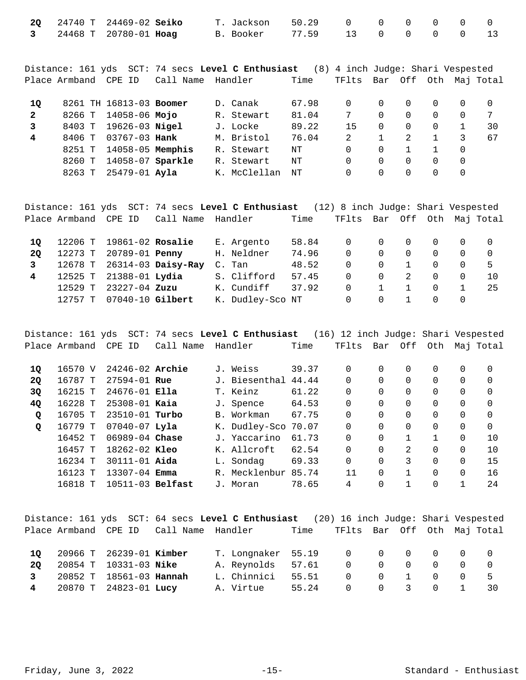|  | 20 24740 T 24469-02 Seiko |  | T. Jackson 50.29 0 0 0 0 0 0 0 |  |  |  |
|--|---------------------------|--|--------------------------------|--|--|--|
|  | 3 24468 T 20780-01 Hoag   |  | B. Booker 77.59 13 0 0 0 0 13  |  |  |  |

Distance: 161 yds SCT: 74 secs **Level C Enthusiast** (8) 4 inch Judge: Shari Vespested Place Armband CPE ID Call Name Handler Time TFlts Bar Off Oth Maj Total

| 10           |        | 8261 TH 16813-03 Boomer |  | D. Canak     | 67.98 | 0        |          |          |    |
|--------------|--------|-------------------------|--|--------------|-------|----------|----------|----------|----|
| $\mathbf{2}$ |        | 8266 T 14058-06 Mojo    |  | R. Stewart   | 81.04 |          | $\Omega$ | $\Omega$ |    |
|              | 8403 T | 19626-03 <b>Nigel</b>   |  | J. Locke     | 89.22 | 15       |          | $\Omega$ | 30 |
| 4            | 8406 T | 03767-03 <b>Hank</b>    |  | M. Bristol   | 76.04 |          |          |          | 67 |
|              |        | 8251 T 14058-05 Memphis |  | R. Stewart   | NΤ    | $\Omega$ |          |          |    |
|              | 8260 T | 14058-07 Sparkle        |  | R. Stewart   | NΤ    | 0        |          |          |    |
|              | 8263 T | 25479-01 Ayla           |  | K. McClellan | NΤ    |          |          |          |    |

|              |               |                          |                            | Distance: 161 yds SCT: 74 secs Level C Enthusiast (12) 8 inch Judge: Shari Vespested |       |                             |          |             |          |                |          |
|--------------|---------------|--------------------------|----------------------------|--------------------------------------------------------------------------------------|-------|-----------------------------|----------|-------------|----------|----------------|----------|
|              | Place Armband | CPE ID                   | Call Name                  | Handler                                                                              | Time  | TFlts Bar Off Oth Maj Total |          |             |          |                |          |
| 10           |               | 12206 T 19861-02 Rosalie |                            | E. Argento                                                                           | 58.84 | $\overline{0}$              |          | $0\qquad 0$ | $\Omega$ | $\overline{0}$ | - 0      |
| 20           |               | 12273 T 20789-01 Penny   |                            | H. Neldner                                                                           | 74.96 | $\Omega$                    | $\Omega$ | <u>ິດ</u>   | $\Omega$ | $\Omega$       | $\Omega$ |
| $\mathbf{3}$ |               |                          | 12678 T 26314-03 Daisy-Ray | C. Tan                                                                               | 48.52 | $\Omega$                    | $\Omega$ |             | $\Omega$ | $\Omega$       | 5        |
| 4            |               | 12525 T 21388-01 Lydia   |                            | S. Clifford                                                                          | 57.45 | $\Omega$                    | $\Omega$ | 2           | $\Omega$ | 0              | 10       |
|              | 12529 T       | 23227-04 <b>Zuzu</b>     |                            | K. Cundiff                                                                           | 37.92 | $\Omega$                    |          |             | $\Omega$ |                | 25       |
|              | 12757 T       | 07040-10 Gilbert         |                            | K. Dudley-Sco NT                                                                     |       | 0                           | $\Omega$ |             | $\Omega$ | $\Omega$       |          |

Distance: 161 yds SCT: 74 secs **Level C Enthusiast** (16) 12 inch Judge: Shari Vespested Place Armband CPE ID Call Name Handler Time TFlts Bar Off Oth Maj Total 16570 V 24246-02 J. Weiss 39.37 0 0 0 0 0 0 **1Q Archie**  16787 T 27594-01 J. Biesenthal 44.44 0 0 0 0 0 0 **2Q Rue**  16215 T 24676-01 T. Keinz 61.22 0 0 0 0 0 0 **3Q Ella**  16228 T 25308-01 J. Spence 64.53 0 0 0 0 0 0 **4Q Kaia**  16705 T 23510-01 B. Workman 67.75 0 0 0 0 0 0 **Q Turbo**  16779 T 07040-07 K. Dudley-Sco 70.07 0 0 0 0 0 0 **Q Lyla** 

| 16452 T 06989-04 Chase   |  | J. Yaccarino 61.73  |       | 0 0 1 1 0                                       |                                        |                |          |  |
|--------------------------|--|---------------------|-------|-------------------------------------------------|----------------------------------------|----------------|----------|--|
| 16457 T 18262-02 Kleo    |  | K. Allcroft         | 62.54 | $\begin{matrix} 0 & 0 & 2 & 0 & 0 \end{matrix}$ |                                        |                |          |  |
| 16234 T 30111-01 Aida    |  | L. Sondag 69.33     |       | $0 \qquad 0 \qquad 3 \qquad 0$                  |                                        |                | $\Omega$ |  |
| 16123 T 13307-04 Emma    |  | R. Mecklenbur 85.74 |       | 11 0 1 0                                        |                                        |                | $\Omega$ |  |
| 16818 T 10511-03 Belfast |  | J. Moran            | 78.65 | 4                                               | $\begin{array}{ccc} 0 & 1 \end{array}$ | $\overline{0}$ |          |  |

|                |                              |                                        | Distance: 161 yds SCT: 64 secs Level C Enthusiast (20) 16 inch Judge: Shari Vespested |       |                                                 |  |  |      |
|----------------|------------------------------|----------------------------------------|---------------------------------------------------------------------------------------|-------|-------------------------------------------------|--|--|------|
|                |                              | Place Armband CPE ID Call Name Handler |                                                                                       | Time  | TFlts Bar Off Oth Maj Total                     |  |  |      |
|                |                              |                                        |                                                                                       |       |                                                 |  |  |      |
| 10             | 20966 T 26239-01 Kimber      |                                        | T. Longnaker 55.19 0 0 0 0 0 0 0                                                      |       |                                                 |  |  |      |
| 20             | 20854 T 10331-03 <b>Nike</b> |                                        | A. Reynolds 57.61                                                                     |       | $\begin{matrix}0&0&0&0&0\end{matrix}$           |  |  |      |
| $\overline{3}$ | 20852 T 18561-03 Hannah      |                                        | L. Chinnici                                                                           | 55.51 | $\begin{matrix} 0 & 0 & 1 & 0 & 0 \end{matrix}$ |  |  | $-5$ |
|                | 4 20870 T 24823-01 Lucy      |                                        | A. Virtue                                                                             | 55.24 | $\begin{matrix} 0 & 0 & 3 & 0 \end{matrix}$     |  |  | 30   |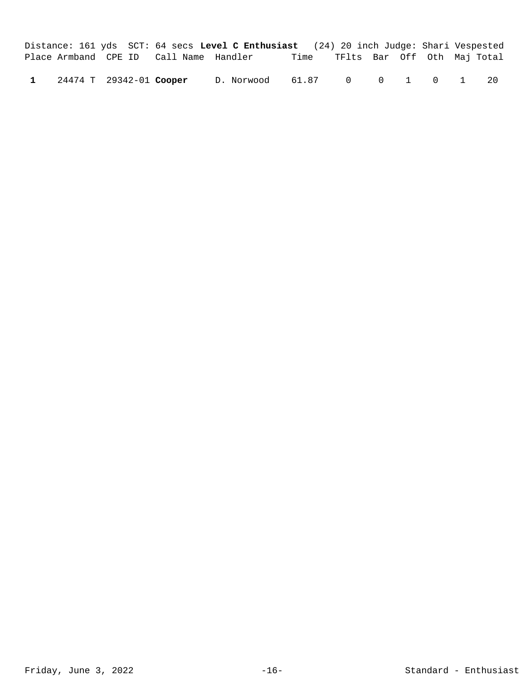|              |                         |                                        | Distance: 161 yds SCT: 64 secs Level C Enthusiast (24) 20 inch Judge: Shari Vespested |                                  |  |  |    |
|--------------|-------------------------|----------------------------------------|---------------------------------------------------------------------------------------|----------------------------------|--|--|----|
|              |                         | Place Armband CPE ID Call Name Handler |                                                                                       | Time TFlts Bar Off Oth Maj Total |  |  |    |
| $\mathbf{1}$ | 24474 T 29342-01 Cooper |                                        | D. Norwood 61.87 0 0 1 0 1                                                            |                                  |  |  | 20 |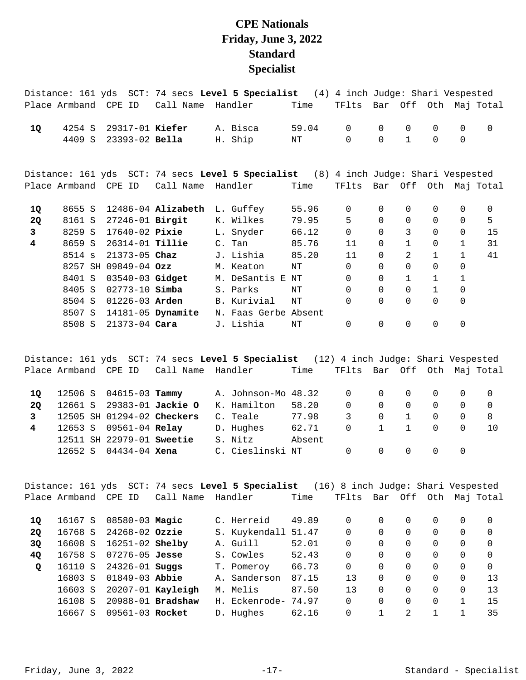## **CPE Nationals Friday, June 3, 2022 Standard Specialist**

|           |                      |  |                      |                          | Distance: 161 yds SCT: 74 secs Level 5 Specialist (4) 4 inch Judge: Shari Vespested |       |          |          |              |              |              |                       |
|-----------|----------------------|--|----------------------|--------------------------|-------------------------------------------------------------------------------------|-------|----------|----------|--------------|--------------|--------------|-----------------------|
|           | Place Armband CPE ID |  |                      | Call Name                | Handler                                                                             | Time  | TFlts    |          |              |              |              | Bar Off Oth Maj Total |
| 1Q        | 4254 S               |  |                      | 29317-01 Kiefer          | A. Bisca                                                                            | 59.04 | $\Omega$ | $\Omega$ | $\Omega$     | $\mathbf 0$  | 0            | $\mathbf 0$           |
|           | 4409 S               |  |                      | 23393-02 Bella           | H. Ship                                                                             | NT    | $\Omega$ | 0        | $\mathbf{1}$ | $\mathsf{O}$ | $\mathbf 0$  |                       |
|           |                      |  |                      |                          | Distance: 161 yds SCT: 74 secs Level 5 Specialist (8) 4 inch Judge: Shari Vespested |       |          |          |              |              |              |                       |
|           | Place Armband CPE ID |  |                      | Call Name                | Handler                                                                             | Time  | TFlts    |          |              |              |              | Bar Off Oth Maj Total |
| 1Q        | 8655 S               |  |                      | $12486 - 04$ Alizabeth   | L. Guffey                                                                           | 55.96 | $\Omega$ | 0        | 0            | 0            | $\Omega$     | 0                     |
| <b>2Q</b> | 8161 S               |  |                      | 27246-01 <b>Birgit</b>   | K. Wilkes                                                                           | 79.95 | 5        | $\Omega$ | $\Omega$     | $\Omega$     | $\Omega$     | 5                     |
| 3         | 8259 S               |  |                      | 17640-02 <b>Pixie</b>    | L. Snyder                                                                           | 66.12 | $\Omega$ | $\Omega$ | 3            | $\Omega$     | $\Omega$     | 15                    |
| 4         | 8659 S               |  |                      | 26314-01 <b>Tillie</b>   | C. Tan                                                                              | 85.76 | 11       | $\Omega$ | $\mathbf{1}$ | 0            | $\mathbf 1$  | 31                    |
|           | 8514 s               |  | $21373 - 05$ Chaz    |                          | J. Lishia                                                                           | 85.20 | 11       | 0        | 2            | $\mathbf{1}$ | $\mathbf{1}$ | 41                    |
|           |                      |  | 8257 SH 09849-04 Ozz |                          | M. Keaton                                                                           | NT    | $\Omega$ | $\Omega$ | 0            | 0            | 0            |                       |
|           | 8401 S               |  |                      | 03540-03 Gidget          | M. DeSantis E NT                                                                    |       | $\Omega$ | $\Omega$ | $\mathbf{1}$ | $\mathbf{1}$ | $\mathbf{1}$ |                       |
|           | 8405 S               |  |                      | $02773 - 10$ Simba       | S. Parks                                                                            | ΝT    | 0        | $\Omega$ | $\Omega$     | $\mathbf{1}$ | $\mathbf 0$  |                       |
|           | 8504 S               |  |                      | $01226 - 03$ Arden       | B. Kurivial                                                                         | NT    | $\Omega$ | $\Omega$ | $\Omega$     | $\Omega$     | $\mathbf 0$  |                       |
|           |                      |  |                      | 8507 S 14181-05 Dynamite | N. Faas Gerbe Absent                                                                |       |          |          |              |              |              |                       |
|           | 8508 S               |  |                      | 21373-04 Cara            | J. Lishia                                                                           | NΤ    | 0        | 0        | 0            | 0            | 0            |                       |

Distance: 161 yds SCT: 74 secs **Level 5 Specialist** (12) 4 inch Judge: Shari Vespested Place Armband CPE ID Call Name Handler Time TFlts Bar Off Oth Maj Total

| 10           |  | 12506 S 04615-03 <b>Tammy</b> |                            | A. Johnson-Mo 48.32 |        | $\overline{0}$      |                                        | $\Omega$ $\Omega$ |                  |  |
|--------------|--|-------------------------------|----------------------------|---------------------|--------|---------------------|----------------------------------------|-------------------|------------------|--|
| 20           |  |                               | 12661 S 29383-01 Jackie O  | K. Hamilton         | 58.20  | $\Omega$            |                                        | $\overline{0}$    | $\Omega$         |  |
| $\mathbf{3}$ |  |                               | 12505 SH 01294-02 Checkers | C. Teale            | 77.98  | 3                   | $\begin{array}{ccc} 0 & 1 \end{array}$ |                   | $\left( \right)$ |  |
| 4            |  | 12653 S 09561-04 Relay        |                            | D. Hughes           | 62.71  | $\Omega$            |                                        | $1 \quad 1$       | $\Omega$         |  |
|              |  | 12511 SH 22979-01 Sweetie     |                            | S. Nitz             | Absent |                     |                                        |                   |                  |  |
|              |  | 12652 S 04434-04 Xena         |                            | C. Cieslinski NT    |        | $0\qquad 0\qquad 0$ |                                        |                   | $\Omega$         |  |

Distance: 161 yds SCT: 74 secs **Level 5 Specialist** (16) 8 inch Judge: Shari Vespested Place Armband CPE ID Call Name Handler Time TFlts Bar Off Oth Maj Total

| 10        | 16167 S | 08580-03 Magic      |                   | C. Herreid          | 49.89 |            |   |              |          |          |          |
|-----------|---------|---------------------|-------------------|---------------------|-------|------------|---|--------------|----------|----------|----------|
| <b>20</b> | 16768 S | $24268 - 02$ Ozzie  |                   | S. Kuykendall       | 51.47 | 0          |   | $\Omega$     | $\Omega$ | $\Omega$ |          |
| 30        | 16608 S | $16251 - 02$ Shelby |                   | A. Guill            | 52.01 | 0          |   |              | 0        |          |          |
| 40        | 16758 S | $07276 - 05$ Jesse  |                   | S. Cowles           | 52.43 | 0          |   |              | 0        |          | $\Omega$ |
| $\circ$   | 16110 S | $24326 - 01$ Suggs  |                   | T. Pomeroy          | 66.73 | 0          | 0 | $\Omega$     | $\Omega$ | 0        | $\Omega$ |
|           | 16803 S | 01849-03 Abbie      |                   | A. Sanderson        | 87.15 | <u>า ว</u> | 0 | <sup>n</sup> | 0        |          | 13       |
|           | 16603 S |                     | 20207-01 Kayleigh | M. Melis            | 87.50 | 13         |   | $\Omega$     | 0        | 0        | 13       |
|           | 16108 S |                     | 20988-01 Bradshaw | H. Eckenrode- 74.97 |       | 0          |   |              | 0        |          | 15       |
|           | 16667 S | 09561-03 Rocket     |                   | D. Hughes           | 62.16 | 0          |   | 2            |          |          | 35       |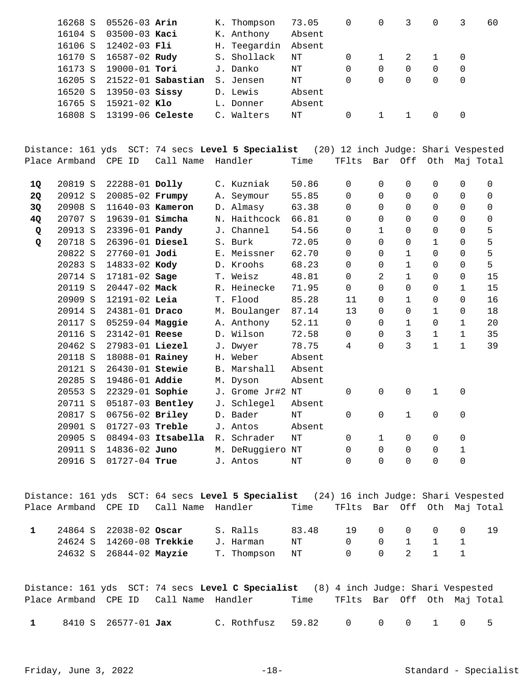| 16268 S | $05526 - 03$ Arin    |                    | K. Thompson  | 73.05  | 0 | $\Omega$ | 3  | $\Omega$ |          | 60 |
|---------|----------------------|--------------------|--------------|--------|---|----------|----|----------|----------|----|
| 16104 S | $03500 - 03$ Kaci    |                    | K. Anthony   | Absent |   |          |    |          |          |    |
| 16106 S | 12402-03 Fli         |                    | H. Teegardin | Absent |   |          |    |          |          |    |
| 16170 S | 16587-02 <b>Rudy</b> |                    | S. Shollack  | NΤ     | 0 |          | 2. |          | 0        |    |
| 16173 S | 19000-01 <b>Tori</b> |                    | J. Danko     | ΝT     | 0 | 0        | 0  | 0        | 0        |    |
| 16205 S |                      | 21522-01 Sabastian | S. Jensen    | ΝT     | 0 | 0        |    | 0        | 0        |    |
| 16520 S | 13950-03 Sissy       |                    | D. Lewis     | Absent |   |          |    |          |          |    |
| 16765 S | 15921-02 Klo         |                    | L. Donner    | Absent |   |          |    |          |          |    |
| 16808 S | $13199-06$ Celeste   |                    | C. Walters   | NΤ     | 0 |          |    |          | $\Omega$ |    |
|         |                      |                    |              |        |   |          |    |          |          |    |

Distance: 161 yds SCT: 74 secs **Level 5 Specialist** (20) 12 inch Judge: Shari Vespested Place Armband CPE ID Call Name Handler Time TFlts Bar Off Oth Maj Total 20819 S 22288-01 C. Kuzniak 50.86 0 0 0 0 0 0 **1Q Dolly**  20912 S 20085-02 A. Seymour 55.85 0 0 0 0 0 0 **2Q Frumpy**  20908 S 11640-03 D. Almasy 63.38 0 0 0 0 0 0 **3Q Kameron**  20707 S 19639-01 N. Haithcock 66.81 0 0 0 0 0 0 **4Q Simcha**  20913 S 23396-01 J. Channel 54.56 0 1 0 0 0 5 **Q Pandy**  20718 S 26396-01 S. Burk 72.05 0 0 0 1 0 5 **Q Diesel**  20822 S 27760-01 E. Meissner 62.70 0 0 1 0 0 5 **Jodi**  20283 S 14833-02 D. Kroohs 68.23 0 0 1 0 0 5 **Kody**  20714 S 17181-02 T. Weisz 48.81 0 2 1 0 0 15 **Sage**  20119 S 20447-02 R. Heinecke 71.95 0 0 0 0 1 15 **Mack**  20909 S 12191-02 T. Flood 85.28 11 0 1 0 0 16 **Leia**  20914 S 24381-01 M. Boulanger 87.14 13 0 0 1 0 18 **Draco**  20117 S 05259-04 A. Anthony 52.11 0 0 1 0 1 20 **Maggie**  20116 S 23142-01 D. Wilson 72.58 0 0 3 1 1 35 **Reese**  20462 S 27983-01 J. Dwyer 78.75 4 0 3 1 1 39 **Liezel**  20118 S 18088-01 **Rainey H. Weber** Absent 20121 S 26430-01 **Stewie** B. Marshall Absent 20285 S 19486-01 M. Dyson Absent **Addie**  20553 S 22329-01 J. Grome Jr#2 NT 0 0 0 1 0 **Sophie**  20711 S 05187-03 **Bentley** J. Schlegel Absent 20817 S 06756-02 D. Bader NT 0 0 1 0 0 **Briley**  20901 S 01727-03 **Treble** J. Antos Absent 20905 S 08494-03 R. Schrader NT 0 1 0 0 0 **Itsabella**  20911 S 14836-02 M. DeRuggiero NT 0 0 0 0 1 **Juno**  20916 S 01727-04 J. Antos NT 0 0 0 0 0 **True** 

Distance: 161 yds SCT: 64 secs **Level 5 Specialist** (24) 16 inch Judge: Shari Vespested Place Armband CPE ID Call Name Handler Time TFlts Bar Off Oth Maj Total

| 24864 S 22038-02 Oscar |                         |                                    | S. Ralls       | 83.48 | 19 N N                  |  |  |  |
|------------------------|-------------------------|------------------------------------|----------------|-------|-------------------------|--|--|--|
|                        |                         | 24624 S 14260-08 Trekkie J. Harman |                | NT    | $0 \t 0 \t 1 \t 1 \t 1$ |  |  |  |
|                        | 24632 S 26844-02 Mayzie |                                    | T. Thompson NT |       | $0 \t 0 \t 2 \t 1 \t 1$ |  |  |  |

|              |                            |                                        | Distance: 161 yds  SCT: 74 secs <b>Level C Specialist</b> (8) 4 inch Judqe: Shari Vespested |      |                             |  |  |  |
|--------------|----------------------------|----------------------------------------|---------------------------------------------------------------------------------------------|------|-----------------------------|--|--|--|
|              |                            | Place Armband CPE ID Call Name Handler |                                                                                             | Time | TFlts Bar Off Oth Maj-Total |  |  |  |
| $\mathbf{1}$ | 8410 S 26577-01 <b>Jax</b> |                                        | C.Rothfusz 59.82 0 0 0 1 0 5                                                                |      |                             |  |  |  |